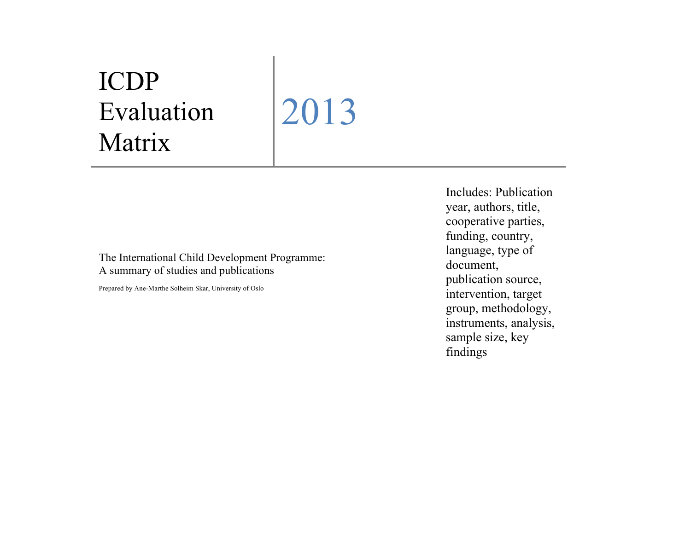## ICDP Evaluation Matrix

2013

The International Child Development Programme: A summary of studies and publications

Prepared by Ane-Marthe Solheim Skar, University of Oslo

Includes: Publication year, authors, title, cooperative parties, funding, country, language, type of document, publication source, intervention, target group, methodology, instruments, analysis, sample size, key findings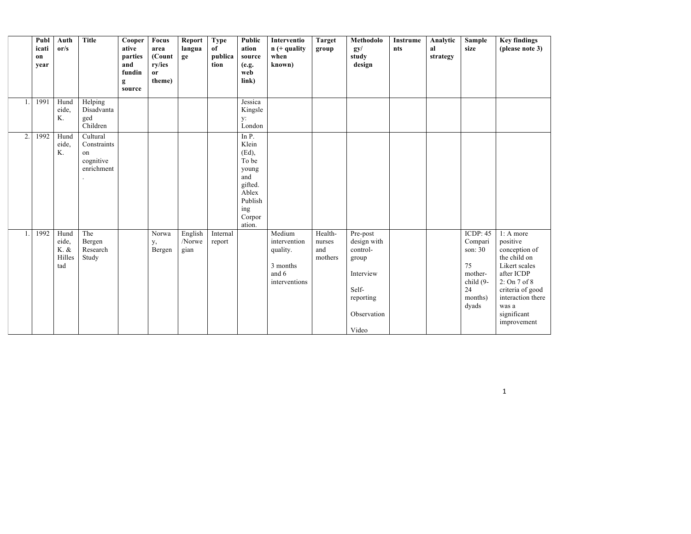|              | Publ<br>icati<br>on<br>year | Auth<br>or/s                           | <b>Title</b>                                             | Cooper<br>ative<br>parties<br>and | Focus<br>area<br>(Count<br>ry/ies | Report<br>langua<br>ge    | <b>Type</b><br>of<br>publica<br>tion | Public<br>ation<br>source<br>(e.g.                                                                            | Interventio<br>$n (+$ quality<br>when<br>known)                          | <b>Target</b><br>group              | Methodolo<br>gy/<br>study<br>design                                                                     | Instrume<br>nts | Analytic<br>al<br>strategy | Sample<br>size                                                                           | <b>Key findings</b><br>(please note 3)                                                                                                                                                        |
|--------------|-----------------------------|----------------------------------------|----------------------------------------------------------|-----------------------------------|-----------------------------------|---------------------------|--------------------------------------|---------------------------------------------------------------------------------------------------------------|--------------------------------------------------------------------------|-------------------------------------|---------------------------------------------------------------------------------------------------------|-----------------|----------------------------|------------------------------------------------------------------------------------------|-----------------------------------------------------------------------------------------------------------------------------------------------------------------------------------------------|
|              |                             |                                        |                                                          | fundin<br>g<br>source             | <sub>or</sub><br>theme)           |                           |                                      | web<br>$\mathbf{link}$                                                                                        |                                                                          |                                     |                                                                                                         |                 |                            |                                                                                          |                                                                                                                                                                                               |
| $\mathbf{1}$ | 1991                        | Hund<br>eide.<br>K.                    | Helping<br>Disadvanta<br>ged<br>Children                 |                                   |                                   |                           |                                      | Jessica<br>Kingsle<br>y:<br>London                                                                            |                                                                          |                                     |                                                                                                         |                 |                            |                                                                                          |                                                                                                                                                                                               |
| 2.           | 1992                        | Hund<br>eide,<br>K.                    | Cultural<br>Constraints<br>on<br>cognitive<br>enrichment |                                   |                                   |                           |                                      | In P.<br>Klein<br>$(Ed)$ ,<br>To be<br>young<br>and<br>gifted.<br>Ablex<br>Publish<br>ing<br>Corpor<br>ation. |                                                                          |                                     |                                                                                                         |                 |                            |                                                                                          |                                                                                                                                                                                               |
| $\mathbf{1}$ | 1992                        | Hund<br>eide.<br>K. &<br>Hilles<br>tad | The<br>Bergen<br>Research<br>Study                       |                                   | Norwa<br>у,<br>Bergen             | English<br>/Norwe<br>gian | Internal<br>report                   |                                                                                                               | Medium<br>intervention<br>quality.<br>3 months<br>and 6<br>interventions | Health-<br>nurses<br>and<br>mothers | Pre-post<br>design with<br>control-<br>group<br>Interview<br>Self-<br>reporting<br>Observation<br>Video |                 |                            | ICDP: $45$<br>Compari<br>son: 30<br>75<br>mother-<br>child (9-<br>24<br>months)<br>dyads | $1: A$ more<br>positive<br>conception of<br>the child on<br>Likert scales<br>after ICDP<br>$2:$ On $7$ of $8$<br>criteria of good<br>interaction there<br>was a<br>significant<br>improvement |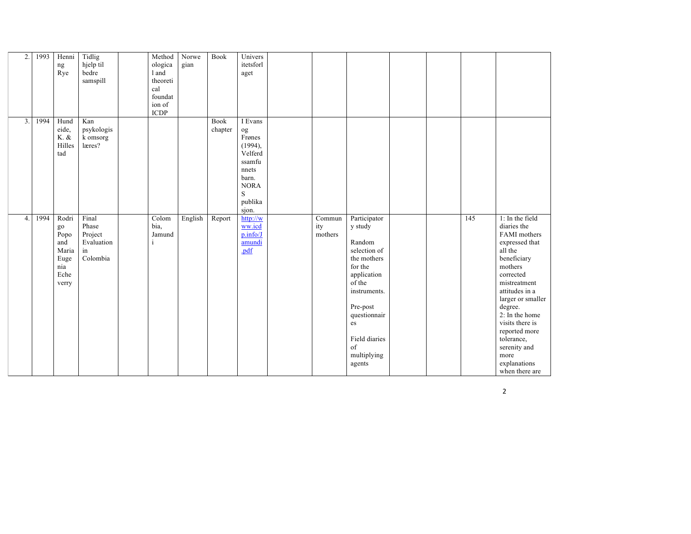| $\overline{2}$ . | 1993 | Henni<br>ng<br>Rye                                                  | Tidlig<br>hjelp til<br>bedre<br>samspill                  | Method<br>ologica<br>1 and<br>theoreti<br>cal<br>foundat<br>ion of<br>$\ensuremath{\mathsf{ICDP}}\xspace$ | Norwe<br>gian | <b>Book</b>            | Univers<br>itetsforl<br>aget                                                                                      |                                                |                                                                                                                                                                                                        |  |     |                                                                                                                                                                                                                                                                                                                      |
|------------------|------|---------------------------------------------------------------------|-----------------------------------------------------------|-----------------------------------------------------------------------------------------------------------|---------------|------------------------|-------------------------------------------------------------------------------------------------------------------|------------------------------------------------|--------------------------------------------------------------------------------------------------------------------------------------------------------------------------------------------------------|--|-----|----------------------------------------------------------------------------------------------------------------------------------------------------------------------------------------------------------------------------------------------------------------------------------------------------------------------|
| 3.               | 1994 | Hund<br>eide,<br>$K.$ $\&$<br>Hilles<br>tad                         | Kan<br>psykologis<br>k omsorg<br>læres?                   |                                                                                                           |               | <b>Book</b><br>chapter | I Evans<br>og<br>Frønes<br>(1994),<br>Velferd<br>ssamfu<br>nnets<br>barn.<br><b>NORA</b><br>S<br>publika<br>sjon. |                                                |                                                                                                                                                                                                        |  |     |                                                                                                                                                                                                                                                                                                                      |
| $\overline{4}$   | 1994 | Rodri<br>go<br>Popo<br>and<br>Maria<br>Euge<br>nia<br>Eche<br>verry | Final<br>Phase<br>Project<br>Evaluation<br>in<br>Colombia | Colom<br>bia,<br>Jamund                                                                                   | English       | Report                 | http://w<br>ww.icd<br>p.info/J<br>amundi<br>.pdf                                                                  | $\overline{\mathrm{Commun}}$<br>ity<br>mothers | Participator<br>y study<br>Random<br>selection of<br>the mothers<br>for the<br>application<br>of the<br>instruments.<br>Pre-post<br>questionnair<br>es<br>Field diaries<br>of<br>multiplying<br>agents |  | 145 | 1: In the field<br>diaries the<br>FAMI mothers<br>expressed that<br>all the<br>beneficiary<br>mothers<br>corrected<br>mistreatment<br>attitudes in a<br>larger or smaller<br>degree.<br>$2:$ In the home<br>visits there is<br>reported more<br>tolerance,<br>serenity and<br>more<br>explanations<br>when there are |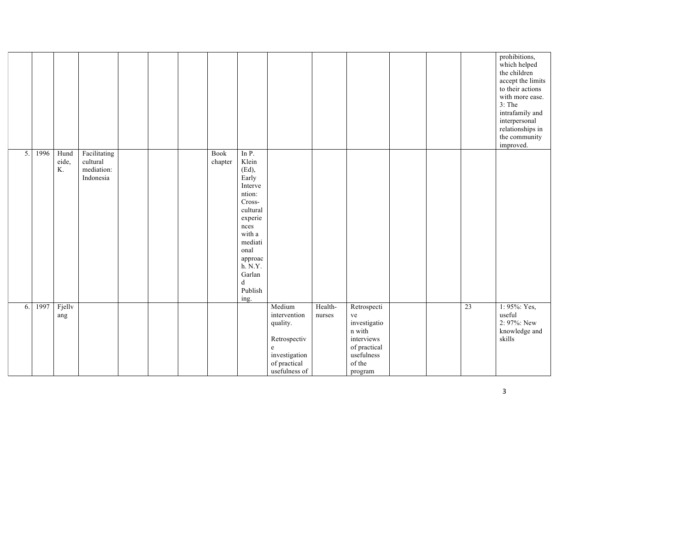|    |      |                     |                                                     |  |                 |                                                                                                                                                                                     |                                                                                                                                           |                   |                                                                                                              |  |    | prohibitions,<br>which helped<br>the children<br>accept the limits<br>to their actions<br>with more ease.<br>$3:$ The<br>intrafamily and<br>interpersonal<br>relationships in<br>the community<br>improved. |
|----|------|---------------------|-----------------------------------------------------|--|-----------------|-------------------------------------------------------------------------------------------------------------------------------------------------------------------------------------|-------------------------------------------------------------------------------------------------------------------------------------------|-------------------|--------------------------------------------------------------------------------------------------------------|--|----|-------------------------------------------------------------------------------------------------------------------------------------------------------------------------------------------------------------|
| 5. | 1996 | Hund<br>eide,<br>K. | Facilitating<br>cultural<br>mediation:<br>Indonesia |  | Book<br>chapter | In P.<br>Klein<br>(Ed),<br>Early<br>Interve<br>ntion:<br>Cross-<br>cultural<br>experie<br>nces<br>with a<br>mediati<br>onal<br>approac<br>h. N.Y.<br>Garlan<br>d<br>Publish<br>ing. |                                                                                                                                           |                   |                                                                                                              |  |    |                                                                                                                                                                                                             |
| 6. | 1997 | Fjellv<br>ang       |                                                     |  |                 |                                                                                                                                                                                     | Medium<br>intervention<br>quality.<br>Retrospectiv<br>$\mathbf{e}% _{t}\left( t\right)$<br>investigation<br>of practical<br>usefulness of | Health-<br>nurses | Retrospecti<br>ve<br>investigatio<br>n with<br>interviews<br>of practical<br>usefulness<br>of the<br>program |  | 23 | 1: 95%: Yes,<br>useful<br>2: 97%: New<br>knowledge and<br>skills                                                                                                                                            |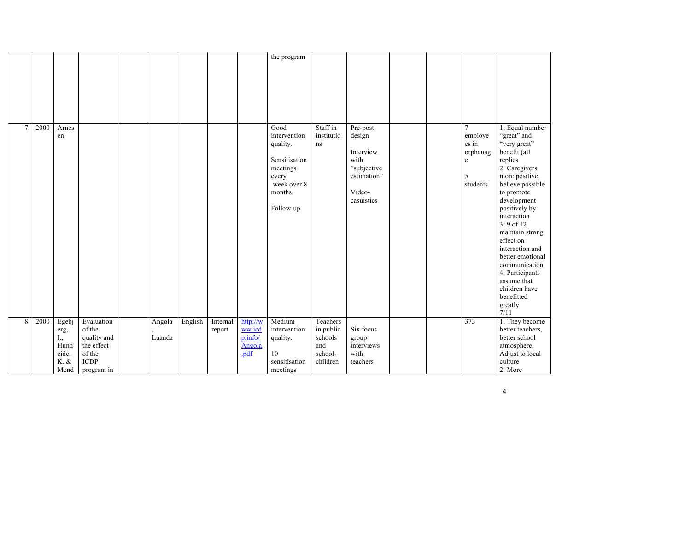|    |      |                                                    |                                                                            |                  |         |                    |                                                 | the program                                                                                                    |                                                                |                                                                                               |  |                                                                      |                                                                                                                                                                                                                                                                                                                                                                                          |
|----|------|----------------------------------------------------|----------------------------------------------------------------------------|------------------|---------|--------------------|-------------------------------------------------|----------------------------------------------------------------------------------------------------------------|----------------------------------------------------------------|-----------------------------------------------------------------------------------------------|--|----------------------------------------------------------------------|------------------------------------------------------------------------------------------------------------------------------------------------------------------------------------------------------------------------------------------------------------------------------------------------------------------------------------------------------------------------------------------|
|    |      |                                                    |                                                                            |                  |         |                    |                                                 |                                                                                                                |                                                                |                                                                                               |  |                                                                      |                                                                                                                                                                                                                                                                                                                                                                                          |
|    |      |                                                    |                                                                            |                  |         |                    |                                                 |                                                                                                                |                                                                |                                                                                               |  |                                                                      |                                                                                                                                                                                                                                                                                                                                                                                          |
|    |      |                                                    |                                                                            |                  |         |                    |                                                 |                                                                                                                |                                                                |                                                                                               |  |                                                                      |                                                                                                                                                                                                                                                                                                                                                                                          |
| 7. | 2000 | Arnes<br>en                                        |                                                                            |                  |         |                    |                                                 | Good<br>intervention<br>quality.<br>Sensitisation<br>meetings<br>every<br>week over 8<br>months.<br>Follow-up. | Staff in<br>institutio<br>ns                                   | Pre-post<br>design<br>Interview<br>with<br>"subjective<br>estimation"<br>Video-<br>casuistics |  | $\overline{7}$<br>employe<br>es in<br>orphanag<br>e<br>5<br>students | 1: Equal number<br>"great" and<br>"very great"<br>benefit (all<br>replies<br>2: Caregivers<br>more positive,<br>believe possible<br>to promote<br>development<br>positively by<br>interaction<br>$3:9$ of 12<br>maintain strong<br>effect on<br>interaction and<br>better emotional<br>communication<br>4: Participants<br>assume that<br>children have<br>benefitted<br>greatly<br>7/11 |
| 8. | 2000 | Egebj<br>erg,<br>I.,<br>Hund<br>eide,<br>$K.$ $\&$ | Evaluation<br>of the<br>quality and<br>the effect<br>of the<br><b>ICDP</b> | Angola<br>Luanda | English | Internal<br>report | http://w<br>ww.icd<br>p.info/<br>Angola<br>.pdf | Medium<br>intervention<br>quality.<br>10<br>sensitisation                                                      | Teachers<br>in public<br>schools<br>and<br>school-<br>children | Six focus<br>group<br>interviews<br>with<br>teachers                                          |  | 373                                                                  | 1: They become<br>better teachers,<br>better school<br>atmosphere.<br>Adjust to local<br>culture                                                                                                                                                                                                                                                                                         |
|    |      | Mend                                               | program in                                                                 |                  |         |                    |                                                 | meetings                                                                                                       |                                                                |                                                                                               |  |                                                                      | 2: More                                                                                                                                                                                                                                                                                                                                                                                  |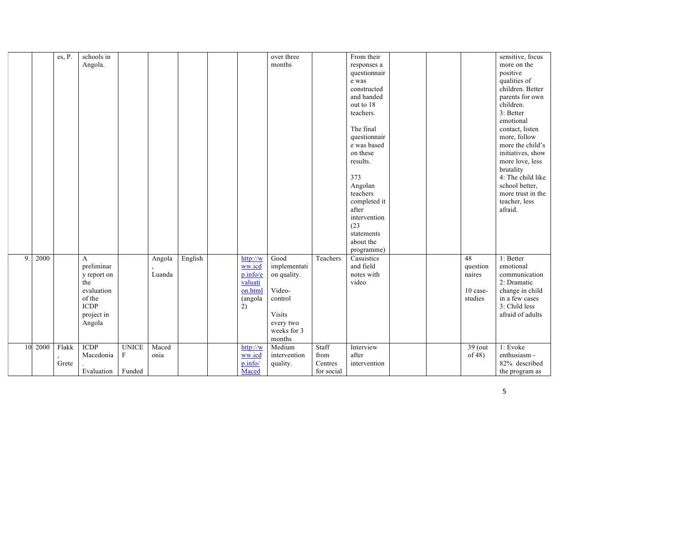|    |      | es, P. | schools in  |              |        |         |          | over three    |            | From their   |  |           | sensitive, focus  |
|----|------|--------|-------------|--------------|--------|---------|----------|---------------|------------|--------------|--|-----------|-------------------|
|    |      |        | Angola.     |              |        |         |          | months        |            | responses a  |  |           | more on the       |
|    |      |        |             |              |        |         |          |               |            | questionnair |  |           | positive          |
|    |      |        |             |              |        |         |          |               |            | e was        |  |           | qualities of      |
|    |      |        |             |              |        |         |          |               |            | constructed  |  |           | children. Better  |
|    |      |        |             |              |        |         |          |               |            | and handed   |  |           | parents for own   |
|    |      |        |             |              |        |         |          |               |            | out to 18    |  |           | children.         |
|    |      |        |             |              |        |         |          |               |            | teachers.    |  |           | 3: Better         |
|    |      |        |             |              |        |         |          |               |            |              |  |           | emotional         |
|    |      |        |             |              |        |         |          |               |            | The final    |  |           | contact, listen   |
|    |      |        |             |              |        |         |          |               |            | questionnair |  |           | more, follow      |
|    |      |        |             |              |        |         |          |               |            | e was based  |  |           | more the child's  |
|    |      |        |             |              |        |         |          |               |            | on these     |  |           | initiatives, show |
|    |      |        |             |              |        |         |          |               |            | results.     |  |           | more love, less   |
|    |      |        |             |              |        |         |          |               |            |              |  |           | brutality         |
|    |      |        |             |              |        |         |          |               |            | 373          |  |           | 4: The child like |
|    |      |        |             |              |        |         |          |               |            | Angolan      |  |           | school better,    |
|    |      |        |             |              |        |         |          |               |            | teachers     |  |           | more trust in the |
|    |      |        |             |              |        |         |          |               |            | completed it |  |           | teacher, less     |
|    |      |        |             |              |        |         |          |               |            | after        |  |           | afraid.           |
|    |      |        |             |              |        |         |          |               |            | intervention |  |           |                   |
|    |      |        |             |              |        |         |          |               |            | (23)         |  |           |                   |
|    |      |        |             |              |        |         |          |               |            | statements   |  |           |                   |
|    |      |        |             |              |        |         |          |               |            | about the    |  |           |                   |
|    |      |        |             |              |        |         |          |               |            | programme)   |  |           |                   |
| 9. | 2000 |        | A           |              | Angola | English | http://w | Good          | Teachers   | Casuistics   |  | 48        | 1: Better         |
|    |      |        | preliminar  |              |        |         | ww.icd   | implementati  |            | and field    |  | question  | emotional         |
|    |      |        | y report on |              | Luanda |         | p.info/e | on quality.   |            | notes with   |  | naires    | communication     |
|    |      |        | the         |              |        |         | valuati  |               |            | video        |  |           | 2: Dramatic       |
|    |      |        | evaluation  |              |        |         | on.html  | Video-        |            |              |  | 10 case-  | change in child   |
|    |      |        | of the      |              |        |         | (angola  | control       |            |              |  | studies   | in a few cases    |
|    |      |        | <b>ICDP</b> |              |        |         | 2)       |               |            |              |  |           | 3: Child less     |
|    |      |        | project in  |              |        |         |          | <b>Visits</b> |            |              |  |           | afraid of adults  |
|    |      |        | Angola      |              |        |         |          | every two     |            |              |  |           |                   |
|    |      |        |             |              |        |         |          | weeks for 3   |            |              |  |           |                   |
|    |      |        |             |              |        |         |          | months        |            |              |  |           |                   |
| 10 | 2000 | Flakk  | <b>ICDP</b> | <b>UNICE</b> | Maced  |         | http://w | Medium        | Staff      | Interview    |  | 39 (out   | 1: Evoke          |
|    |      |        | Macedonia   | ${\bf F}$    | onia   |         | ww.icd   | intervention  | from       | after        |  | of $48$ ) | enthusiasm -      |
|    |      | Grete  |             |              |        |         | p.info/  | quality.      | Centres    | intervention |  |           | 82% described     |
|    |      |        | Evaluation  | Funded       |        |         | Maced    |               | for social |              |  |           | the program as    |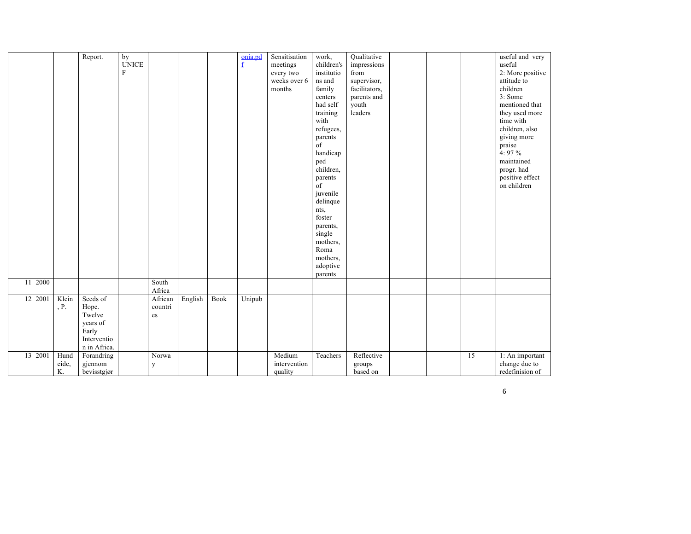|    |      |       | Report.      | by           |         |         |             | onia.pd                  | Sensitisation | work,      | Qualitative   |  |    | useful and very  |
|----|------|-------|--------------|--------------|---------|---------|-------------|--------------------------|---------------|------------|---------------|--|----|------------------|
|    |      |       |              | <b>UNICE</b> |         |         |             | $\underline{\mathbf{f}}$ | meetings      | children's | impressions   |  |    | useful           |
|    |      |       |              | $\mathbf{F}$ |         |         |             |                          | every two     | institutio | from          |  |    | 2: More positive |
|    |      |       |              |              |         |         |             |                          | weeks over 6  | ns and     | supervisor,   |  |    | attitude to      |
|    |      |       |              |              |         |         |             |                          |               |            |               |  |    | children         |
|    |      |       |              |              |         |         |             |                          | months        | family     | facilitators, |  |    |                  |
|    |      |       |              |              |         |         |             |                          |               | centers    | parents and   |  |    | 3: Some          |
|    |      |       |              |              |         |         |             |                          |               | had self   | youth         |  |    | mentioned that   |
|    |      |       |              |              |         |         |             |                          |               | training   | leaders       |  |    | they used more   |
|    |      |       |              |              |         |         |             |                          |               | with       |               |  |    | time with        |
|    |      |       |              |              |         |         |             |                          |               | refugees,  |               |  |    | children, also   |
|    |      |       |              |              |         |         |             |                          |               | parents    |               |  |    | giving more      |
|    |      |       |              |              |         |         |             |                          |               | of         |               |  |    | praise           |
|    |      |       |              |              |         |         |             |                          |               | handicap   |               |  |    | 4: $97\%$        |
|    |      |       |              |              |         |         |             |                          |               | ped        |               |  |    | maintained       |
|    |      |       |              |              |         |         |             |                          |               | children,  |               |  |    | progr. had       |
|    |      |       |              |              |         |         |             |                          |               | parents    |               |  |    | positive effect  |
|    |      |       |              |              |         |         |             |                          |               | of         |               |  |    | on children      |
|    |      |       |              |              |         |         |             |                          |               | juvenile   |               |  |    |                  |
|    |      |       |              |              |         |         |             |                          |               | delinque   |               |  |    |                  |
|    |      |       |              |              |         |         |             |                          |               | nts,       |               |  |    |                  |
|    |      |       |              |              |         |         |             |                          |               | foster     |               |  |    |                  |
|    |      |       |              |              |         |         |             |                          |               | parents,   |               |  |    |                  |
|    |      |       |              |              |         |         |             |                          |               | single     |               |  |    |                  |
|    |      |       |              |              |         |         |             |                          |               | mothers,   |               |  |    |                  |
|    |      |       |              |              |         |         |             |                          |               | Roma       |               |  |    |                  |
|    |      |       |              |              |         |         |             |                          |               | mothers,   |               |  |    |                  |
|    |      |       |              |              |         |         |             |                          |               | adoptive   |               |  |    |                  |
|    |      |       |              |              |         |         |             |                          |               | parents    |               |  |    |                  |
| 11 | 2000 |       |              |              | South   |         |             |                          |               |            |               |  |    |                  |
|    |      |       |              |              | Africa  |         |             |                          |               |            |               |  |    |                  |
| 12 | 2001 | Klein | Seeds of     |              | African | English | <b>Book</b> | Unipub                   |               |            |               |  |    |                  |
|    |      | $P$ . | Hope.        |              | countri |         |             |                          |               |            |               |  |    |                  |
|    |      |       | Twelve       |              | es      |         |             |                          |               |            |               |  |    |                  |
|    |      |       | years of     |              |         |         |             |                          |               |            |               |  |    |                  |
|    |      |       |              |              |         |         |             |                          |               |            |               |  |    |                  |
|    |      |       | Early        |              |         |         |             |                          |               |            |               |  |    |                  |
|    |      |       | Interventio  |              |         |         |             |                          |               |            |               |  |    |                  |
|    |      |       | n in Africa. |              |         |         |             |                          |               |            |               |  |    |                  |
| 13 | 2001 | Hund  | Forandring   |              | Norwa   |         |             |                          | Medium        | Teachers   | Reflective    |  | 15 | 1: An important  |
|    |      | eide, | gjennom      |              | У       |         |             |                          | intervention  |            | groups        |  |    | change due to    |
|    |      | K.    | bevisstgjør  |              |         |         |             |                          | quality       |            | based on      |  |    | redefinision of  |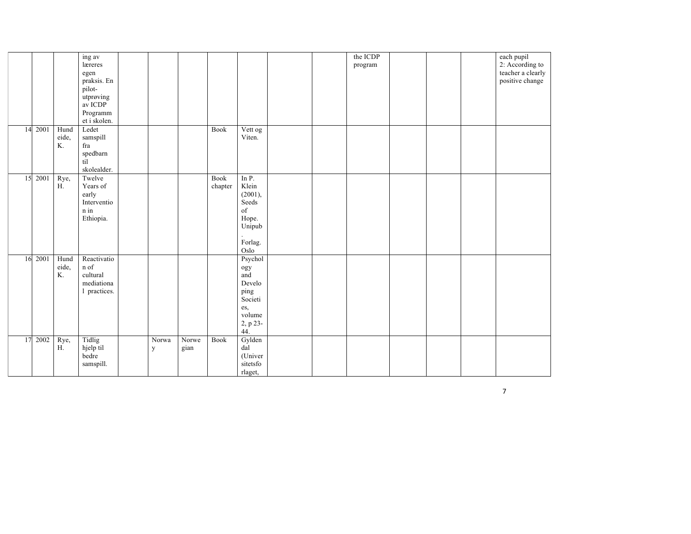|    |         |                     | ing av<br>læreres<br>egen<br>praksis. En<br>pilot-<br>utprøving<br>av ICDP<br>Programm<br>et i skolen. |            |               |                 |                                                                                                                                                                                |  | the ICDP<br>program |  | each pupil<br>2: According to<br>teacher a clearly<br>positive change |
|----|---------|---------------------|--------------------------------------------------------------------------------------------------------|------------|---------------|-----------------|--------------------------------------------------------------------------------------------------------------------------------------------------------------------------------|--|---------------------|--|-----------------------------------------------------------------------|
| 14 | 2001    | Hund<br>eide,<br>K. | Ledet<br>samspill<br>fra<br>spedbarn<br>til<br>skolealder.                                             |            |               | <b>Book</b>     | Vett og<br>Viten.                                                                                                                                                              |  |                     |  |                                                                       |
| 15 | 2001    | Rye,<br>H.          | Twelve<br>Years of<br>early<br>Interventio<br>n in<br>Ethiopia.                                        |            |               | Book<br>chapter | In P.<br>Klein<br>(2001),<br>Seeds<br>$% \left( \left( \mathcal{A},\mathcal{A}\right) \right) =\left( \mathcal{A},\mathcal{A}\right)$ of<br>Hope.<br>Unipub<br>Forlag.<br>Oslo |  |                     |  |                                                                       |
|    | 16 2001 | Hund<br>eide,<br>K. | Reactivatio<br>n of<br>cultural<br>mediationa<br>1 practices.                                          |            |               |                 | Psychol<br>ogy<br>and<br>Develo<br>ping<br>Societi<br>es,<br>volume<br>$2, p 23-$<br>44.                                                                                       |  |                     |  |                                                                       |
| 17 | 2002    | Rye,<br>H.          | Tidlig<br>hjelp til<br>bedre<br>samspill.                                                              | Norwa<br>y | Norwe<br>gian | Book            | Gylden<br>dal<br>(Univer<br>sitetsfo<br>rlaget,                                                                                                                                |  |                     |  |                                                                       |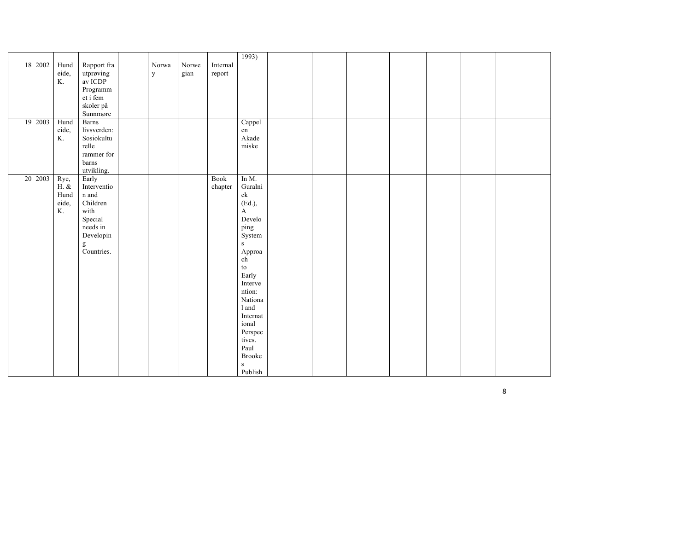|    |         |              |                      |             |       |          | 1993)                                                      |  |  |  |  |
|----|---------|--------------|----------------------|-------------|-------|----------|------------------------------------------------------------|--|--|--|--|
|    | 18 2002 | Hund         | Rapport fra          | Norwa       | Norwe | Internal |                                                            |  |  |  |  |
|    |         | eide,        | utprøving            | $\mathbf y$ | gian  | report   |                                                            |  |  |  |  |
|    |         | K.           | av ICDP              |             |       |          |                                                            |  |  |  |  |
|    |         |              | Programm             |             |       |          |                                                            |  |  |  |  |
|    |         |              | et i fem             |             |       |          |                                                            |  |  |  |  |
|    |         |              | skoler på            |             |       |          |                                                            |  |  |  |  |
|    |         |              | Sunnmøre             |             |       |          |                                                            |  |  |  |  |
| 19 | 2003    | Hund         | <b>Barns</b>         |             |       |          | Cappel                                                     |  |  |  |  |
|    |         | eide,<br>K.  | livsverden:          |             |       |          | en                                                         |  |  |  |  |
|    |         |              | Sosiokultu           |             |       |          | Akade                                                      |  |  |  |  |
|    |         |              | relle<br>rammer for  |             |       |          | miske                                                      |  |  |  |  |
|    |         |              |                      |             |       |          |                                                            |  |  |  |  |
|    |         |              | barns<br>utvikling.  |             |       |          |                                                            |  |  |  |  |
|    | 20 2003 |              |                      |             |       |          | In M.                                                      |  |  |  |  |
|    |         | Rye,<br>H. & | Early<br>Interventio |             |       | Book     | Guralni                                                    |  |  |  |  |
|    |         | Hund         | n and                |             |       | chapter  | $\ensuremath{\text{c}}\xspace\ensuremath{\text{k}}\xspace$ |  |  |  |  |
|    |         | eide,        | Children             |             |       |          | (Ed.),                                                     |  |  |  |  |
|    |         | K.           | with                 |             |       |          | A                                                          |  |  |  |  |
|    |         |              | Special              |             |       |          | Develo                                                     |  |  |  |  |
|    |         |              | needs in             |             |       |          | ping                                                       |  |  |  |  |
|    |         |              | Developin            |             |       |          | System                                                     |  |  |  |  |
|    |         |              |                      |             |       |          | ${\bf S}$                                                  |  |  |  |  |
|    |         |              | g<br>Countries.      |             |       |          | Approa                                                     |  |  |  |  |
|    |         |              |                      |             |       |          | ${\rm ch}$                                                 |  |  |  |  |
|    |         |              |                      |             |       |          | $\mathop{\mathrm{to}}$                                     |  |  |  |  |
|    |         |              |                      |             |       |          | Early                                                      |  |  |  |  |
|    |         |              |                      |             |       |          | Interve                                                    |  |  |  |  |
|    |         |              |                      |             |       |          | ntion:                                                     |  |  |  |  |
|    |         |              |                      |             |       |          | Nationa                                                    |  |  |  |  |
|    |         |              |                      |             |       |          | 1 and                                                      |  |  |  |  |
|    |         |              |                      |             |       |          | Internat                                                   |  |  |  |  |
|    |         |              |                      |             |       |          | ional                                                      |  |  |  |  |
|    |         |              |                      |             |       |          | Perspec                                                    |  |  |  |  |
|    |         |              |                      |             |       |          | tives.                                                     |  |  |  |  |
|    |         |              |                      |             |       |          | Paul                                                       |  |  |  |  |
|    |         |              |                      |             |       |          | <b>Brooke</b>                                              |  |  |  |  |
|    |         |              |                      |             |       |          | ${\bf S}$                                                  |  |  |  |  |
|    |         |              |                      |             |       |          | Publish                                                    |  |  |  |  |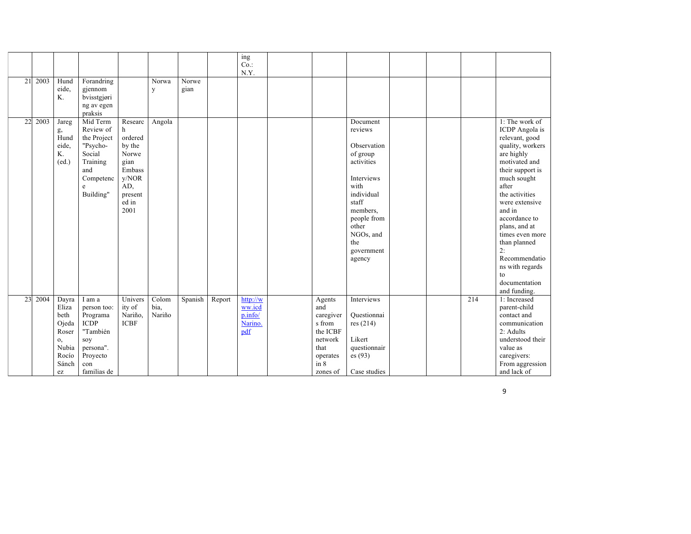|    |      |                                                                                                      |                                                                                                                    |                                                                                                          |                         |               |        | ing<br>Co.<br>N.Y.                              |                                                                                                     |                                                                                                                                                                                           |  |     |                                                                                                                                                                                                                                                                                                                                                       |
|----|------|------------------------------------------------------------------------------------------------------|--------------------------------------------------------------------------------------------------------------------|----------------------------------------------------------------------------------------------------------|-------------------------|---------------|--------|-------------------------------------------------|-----------------------------------------------------------------------------------------------------|-------------------------------------------------------------------------------------------------------------------------------------------------------------------------------------------|--|-----|-------------------------------------------------------------------------------------------------------------------------------------------------------------------------------------------------------------------------------------------------------------------------------------------------------------------------------------------------------|
| 21 | 2003 | Hund<br>eide,<br>K.                                                                                  | Forandring<br>gjennom<br>bvisstgjøri<br>ng av egen<br>praksis                                                      |                                                                                                          | Norwa<br>y              | Norwe<br>gian |        |                                                 |                                                                                                     |                                                                                                                                                                                           |  |     |                                                                                                                                                                                                                                                                                                                                                       |
| 22 | 2003 | Jareg<br>g,<br>Hund<br>eide,<br>K.<br>(ed.)                                                          | Mid Term<br>Review of<br>the Project<br>"Psycho-<br>Social<br>Training<br>and<br>Competenc<br>e<br>Building"       | Researc<br>h<br>ordered<br>by the<br>Norwe<br>gian<br>Embass<br>y/NOR<br>AD,<br>present<br>ed in<br>2001 | Angola                  |               |        |                                                 |                                                                                                     | Document<br>reviews<br>Observation<br>of group<br>activities<br>Interviews<br>with<br>individual<br>staff<br>members.<br>people from<br>other<br>NGOs, and<br>the<br>government<br>agency |  |     | 1: The work of<br>ICDP Angola is<br>relevant, good<br>quality, workers<br>are highly<br>motivated and<br>their support is<br>much sought<br>after<br>the activities<br>were extensive<br>and in<br>accordance to<br>plans, and at<br>times even more<br>than planned<br>2:<br>Recommendatio<br>ns with regards<br>to<br>documentation<br>and funding. |
| 23 | 2004 | Dayra<br>Eliza<br>beth<br>Ojeda<br>Roser<br>0,<br>Nubia<br>Rocío<br>Sánch<br>$\operatorname{\sf ez}$ | I am a<br>person too:<br>Programa<br><b>ICDP</b><br>"También<br>soy<br>persona".<br>Proyecto<br>con<br>familias de | Univers<br>ity of<br>Nariño,<br><b>ICBF</b>                                                              | Colom<br>bia.<br>Nariño | Spanish       | Report | http://w<br>ww.icd<br>p.info/<br>Narino.<br>pdf | Agents<br>and<br>caregiver<br>s from<br>the ICBF<br>network<br>that<br>operates<br>in 8<br>zones of | Interviews<br>Questionnai<br>res (214)<br>Likert<br>questionnair<br>es(93)<br>Case studies                                                                                                |  | 214 | 1: Increased<br>parent-child<br>contact and<br>communication<br>2: Adults<br>understood their<br>value as<br>caregivers:<br>From aggression<br>and lack of                                                                                                                                                                                            |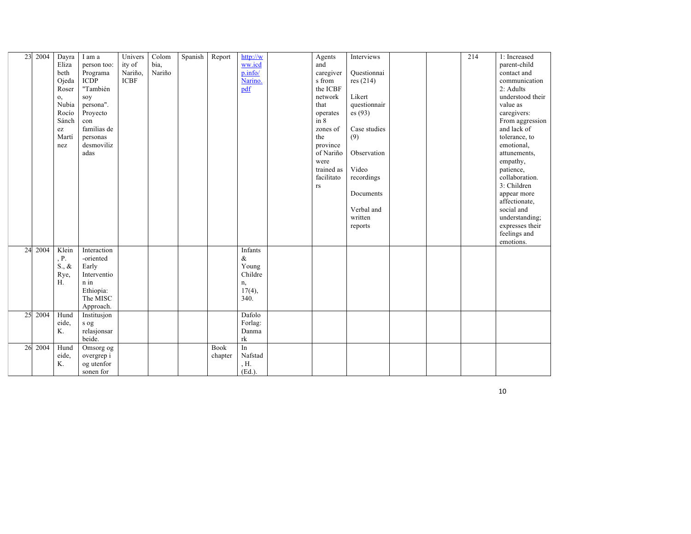| 23 | 2004 | Dayra           | I am a      | Univers     | Colom  | Spanish | Report  | http://w         | Agents                 | Interviews   |  | 214 | 1: Increased     |
|----|------|-----------------|-------------|-------------|--------|---------|---------|------------------|------------------------|--------------|--|-----|------------------|
|    |      | Eliza           | person too: | ity of      | bia,   |         |         | ww.icd           | and                    |              |  |     | parent-child     |
|    |      | beth            | Programa    | Nariño,     | Nariño |         |         | p.info/          | caregiver              | Questionnai  |  |     | contact and      |
|    |      | Ojeda           | <b>ICDP</b> | <b>ICBF</b> |        |         |         | Narino.          | s from                 | res $(214)$  |  |     | communication    |
|    |      | Roser           | "También    |             |        |         |         | pdf              | the ICBF               |              |  |     | 2: Adults        |
|    |      | $\mathbf{0},$   | sov         |             |        |         |         |                  | network                | Likert       |  |     | understood their |
|    |      | Nubia           | persona".   |             |        |         |         |                  | that                   | questionnair |  |     | value as         |
|    |      | Rocío           | Proyecto    |             |        |         |         |                  | operates               | es(93)       |  |     | caregivers:      |
|    |      | Sánch           | con         |             |        |         |         |                  | in 8                   |              |  |     | From aggression  |
|    |      | ez              | familias de |             |        |         |         |                  | zones of               | Case studies |  |     | and lack of      |
|    |      | Martí           | personas    |             |        |         |         |                  | the                    | (9)          |  |     | tolerance, to    |
|    |      | nez             | desmoviliz  |             |        |         |         |                  | province               |              |  |     | emotional,       |
|    |      |                 | adas        |             |        |         |         |                  | of Nariño              | Observation  |  |     | attunements,     |
|    |      |                 |             |             |        |         |         |                  | were                   |              |  |     | empathy,         |
|    |      |                 |             |             |        |         |         |                  | trained as             | Video        |  |     | patience,        |
|    |      |                 |             |             |        |         |         |                  | facilitato             | recordings   |  |     | collaboration.   |
|    |      |                 |             |             |        |         |         |                  | $\mathbf{r}\mathbf{s}$ |              |  |     | 3: Children      |
|    |      |                 |             |             |        |         |         |                  |                        | Documents    |  |     | appear more      |
|    |      |                 |             |             |        |         |         |                  |                        |              |  |     | affectionate.    |
|    |      |                 |             |             |        |         |         |                  |                        | Verbal and   |  |     | social and       |
|    |      |                 |             |             |        |         |         |                  |                        | written      |  |     | understanding;   |
|    |      |                 |             |             |        |         |         |                  |                        | reports      |  |     | expresses their  |
|    |      |                 |             |             |        |         |         |                  |                        |              |  |     | feelings and     |
|    |      |                 |             |             |        |         |         |                  |                        |              |  |     | emotions.        |
| 24 | 2004 | Klein           | Interaction |             |        |         |         | Infants          |                        |              |  |     |                  |
|    |      | , P.            | -oriented   |             |        |         |         | $\&$             |                        |              |  |     |                  |
|    |      | $S_{\cdot}, \&$ | Early       |             |        |         |         | Young            |                        |              |  |     |                  |
|    |      | Rye,            | Interventio |             |        |         |         | Childre          |                        |              |  |     |                  |
|    |      | H.              | n in        |             |        |         |         | n,               |                        |              |  |     |                  |
|    |      |                 | Ethiopia:   |             |        |         |         | $17(4)$ ,        |                        |              |  |     |                  |
|    |      |                 | The MISC    |             |        |         |         | 340.             |                        |              |  |     |                  |
|    |      |                 | Approach.   |             |        |         |         |                  |                        |              |  |     |                  |
| 25 | 2004 | Hund            | Institusjon |             |        |         |         | Dafolo           |                        |              |  |     |                  |
|    |      | eide.           | s og        |             |        |         |         | Forlag:          |                        |              |  |     |                  |
|    |      | K.              | relasjonsar |             |        |         |         | Danma            |                        |              |  |     |                  |
|    |      |                 | beide.      |             |        |         |         | rk               |                        |              |  |     |                  |
| 26 | 2004 | Hund            | Omsorg og   |             |        |         | Book    | $\overline{\ln}$ |                        |              |  |     |                  |
|    |      | eide.           | overgrep i  |             |        |         | chapter | Nafstad          |                        |              |  |     |                  |
|    |      | K.              | og utenfor  |             |        |         |         | , H.             |                        |              |  |     |                  |
|    |      |                 | sonen for   |             |        |         |         | $(Ed.)$ .        |                        |              |  |     |                  |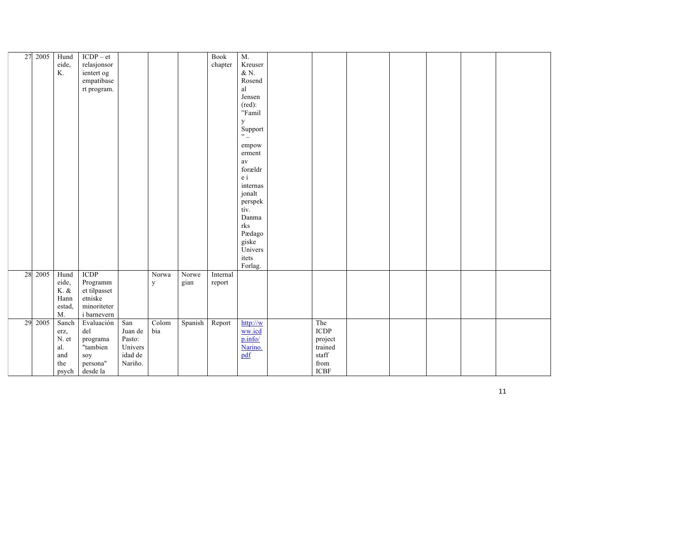| 27 | 2005 | Hund      | $ICDP - et$  |         |              |         | <b>Book</b> | M.                               |                            |  |  |  |
|----|------|-----------|--------------|---------|--------------|---------|-------------|----------------------------------|----------------------------|--|--|--|
|    |      | eide,     | relasjonsor  |         |              |         | chapter     | Kreuser                          |                            |  |  |  |
|    |      | K.        | ientert og   |         |              |         |             | $\&$ N.                          |                            |  |  |  |
|    |      |           | empatibase   |         |              |         |             | Rosend                           |                            |  |  |  |
|    |      |           | rt program.  |         |              |         |             | al                               |                            |  |  |  |
|    |      |           |              |         |              |         |             | Jensen                           |                            |  |  |  |
|    |      |           |              |         |              |         |             | $(\text{red})$ :                 |                            |  |  |  |
|    |      |           |              |         |              |         |             | "Famil                           |                            |  |  |  |
|    |      |           |              |         |              |         |             |                                  |                            |  |  |  |
|    |      |           |              |         |              |         |             | y<br>Support                     |                            |  |  |  |
|    |      |           |              |         |              |         |             | $\sum_{i=1}^{n}$                 |                            |  |  |  |
|    |      |           |              |         |              |         |             |                                  |                            |  |  |  |
|    |      |           |              |         |              |         |             | empow                            |                            |  |  |  |
|    |      |           |              |         |              |         |             | erment                           |                            |  |  |  |
|    |      |           |              |         |              |         |             | av                               |                            |  |  |  |
|    |      |           |              |         |              |         |             | forældr                          |                            |  |  |  |
|    |      |           |              |         |              |         |             | $\ensuremath{\text{e}}\xspace$ i |                            |  |  |  |
|    |      |           |              |         |              |         |             | internas                         |                            |  |  |  |
|    |      |           |              |         |              |         |             | jonalt                           |                            |  |  |  |
|    |      |           |              |         |              |         |             | perspek                          |                            |  |  |  |
|    |      |           |              |         |              |         |             | tiv.                             |                            |  |  |  |
|    |      |           |              |         |              |         |             | Danma                            |                            |  |  |  |
|    |      |           |              |         |              |         |             | rks                              |                            |  |  |  |
|    |      |           |              |         |              |         |             | Pædago                           |                            |  |  |  |
|    |      |           |              |         |              |         |             | giske                            |                            |  |  |  |
|    |      |           |              |         |              |         |             | Univers                          |                            |  |  |  |
|    |      |           |              |         |              |         |             | itets                            |                            |  |  |  |
|    |      |           |              |         |              |         |             | Forlag.                          |                            |  |  |  |
| 28 | 2005 | Hund      | <b>ICDP</b>  |         | Norwa        | Norwe   | Internal    |                                  |                            |  |  |  |
|    |      | eide,     | Programm     |         | $\mathbf{y}$ | gian    | report      |                                  |                            |  |  |  |
|    |      | $K.$ $\&$ | et tilpasset |         |              |         |             |                                  |                            |  |  |  |
|    |      | Hann      | etniske      |         |              |         |             |                                  |                            |  |  |  |
|    |      | estad,    | minoriteter  |         |              |         |             |                                  |                            |  |  |  |
|    |      | M.        | i barnevern  |         |              |         |             |                                  |                            |  |  |  |
| 29 | 2005 | Sanch     | Evaluación   | San     | Colom        | Spanish | Report      | http://w                         | The                        |  |  |  |
|    |      | erz,      | del          | Juan de | bia          |         |             | ww.icd                           | ICDP                       |  |  |  |
|    |      | N. et     | programa     | Pasto:  |              |         |             | p.info/                          | project                    |  |  |  |
|    |      | al.       | "tambien     | Univers |              |         |             | Narino.                          | trained                    |  |  |  |
|    |      | and       | soy          | idad de |              |         |             | pdf                              | staff                      |  |  |  |
|    |      | the       |              | Nariño. |              |         |             |                                  | ${\rm from}$               |  |  |  |
|    |      |           | persona"     |         |              |         |             |                                  | $\ensuremath{\text{ICBF}}$ |  |  |  |
|    |      | psych     | desde la     |         |              |         |             |                                  |                            |  |  |  |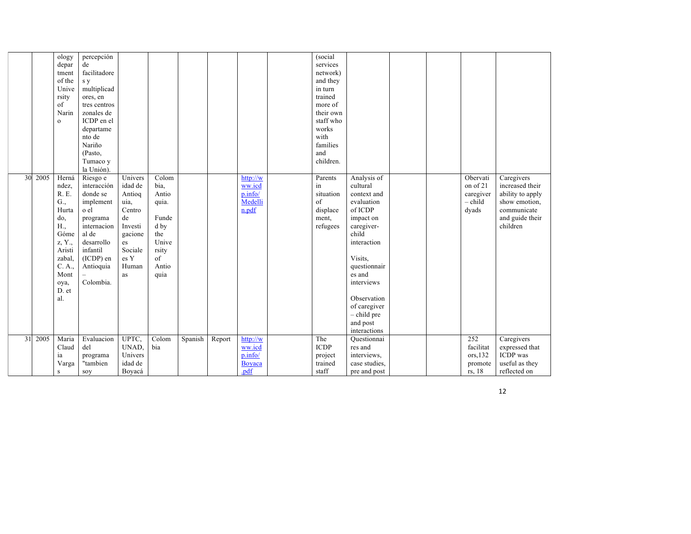|    |      | ology        | percepción   |         |       |         |        |                    | (social     |               |  |           |                  |
|----|------|--------------|--------------|---------|-------|---------|--------|--------------------|-------------|---------------|--|-----------|------------------|
|    |      | depar        | de           |         |       |         |        |                    | services    |               |  |           |                  |
|    |      | tment        | facilitadore |         |       |         |        |                    | network)    |               |  |           |                  |
|    |      | of the       | s y          |         |       |         |        |                    | and they    |               |  |           |                  |
|    |      | Unive        | multiplicad  |         |       |         |        |                    | in turn     |               |  |           |                  |
|    |      | rsity        | ores, en     |         |       |         |        |                    | trained     |               |  |           |                  |
|    |      | of           | tres centros |         |       |         |        |                    | more of     |               |  |           |                  |
|    |      | Narin        | zonales de   |         |       |         |        |                    | their own   |               |  |           |                  |
|    |      | $\mathbf{o}$ | ICDP en el   |         |       |         |        |                    | staff who   |               |  |           |                  |
|    |      |              | departame    |         |       |         |        |                    | works       |               |  |           |                  |
|    |      |              | nto de       |         |       |         |        |                    | with        |               |  |           |                  |
|    |      |              | Nariño       |         |       |         |        |                    | families    |               |  |           |                  |
|    |      |              |              |         |       |         |        |                    |             |               |  |           |                  |
|    |      |              | (Pasto,      |         |       |         |        |                    | and         |               |  |           |                  |
|    |      |              | Tumaco y     |         |       |         |        |                    | children.   |               |  |           |                  |
|    |      |              | la Unión).   |         |       |         |        |                    |             |               |  |           |                  |
| 30 | 2005 | Herná        | Riesgo e     | Univers | Colom |         |        | $\frac{http://w}{$ | Parents     | Analysis of   |  | Obervati  | Caregivers       |
|    |      | ndez.        | interacción  | idad de | bia,  |         |        | ww.icd             | in          | cultural      |  | on of 21  | increased their  |
|    |      | R. E.        | donde se     | Antioq  | Antio |         |        | p.info/            | situation   | context and   |  | caregiver | ability to apply |
|    |      | G.,          | implement    | uia,    | quia. |         |        | Medelli            | of          | evaluation    |  | - child   | show emotion,    |
|    |      | Hurta        | o el         | Centro  |       |         |        | n.pdf              | displace    | of ICDP       |  | dyads     | communicate      |
|    |      | do,          | programa     | de      | Funde |         |        |                    | ment,       | impact on     |  |           | and guide their  |
|    |      | H.,          | internacion  | Investi | d by  |         |        |                    | refugees    | caregiver-    |  |           | children         |
|    |      | Góme         | al de        | gacione | the   |         |        |                    |             | child         |  |           |                  |
|    |      | z, Y.,       | desarrollo   | es      | Unive |         |        |                    |             | interaction   |  |           |                  |
|    |      | Aristi       | infantil     | Sociale | rsity |         |        |                    |             |               |  |           |                  |
|    |      | zabal,       | $(ICDP)$ en  | es Y    | of    |         |        |                    |             | Visits.       |  |           |                  |
|    |      | C. A.,       | Antioquia    | Human   | Antio |         |        |                    |             | questionnair  |  |           |                  |
|    |      | Mont         |              | as      | quia  |         |        |                    |             | es and        |  |           |                  |
|    |      |              | Colombia.    |         |       |         |        |                    |             | interviews    |  |           |                  |
|    |      | oya,         |              |         |       |         |        |                    |             |               |  |           |                  |
|    |      | D. et<br>al. |              |         |       |         |        |                    |             |               |  |           |                  |
|    |      |              |              |         |       |         |        |                    |             | Observation   |  |           |                  |
|    |      |              |              |         |       |         |        |                    |             | of caregiver  |  |           |                  |
|    |      |              |              |         |       |         |        |                    |             | $-$ child pre |  |           |                  |
|    |      |              |              |         |       |         |        |                    |             | and post      |  |           |                  |
|    |      |              |              |         |       |         |        |                    |             | interactions  |  |           |                  |
| 31 | 2005 | Maria        | Evaluacion   | UPTC,   | Colom | Spanish | Report | http://w           | The         | Questionnai   |  | 252       | Caregivers       |
|    |      | Claud        | del          | UNAD,   | bia   |         |        | ww.icd             | <b>ICDP</b> | res and       |  | facilitat | expressed that   |
|    |      | ia           | programa     | Univers |       |         |        | p.info/            | project     | interviews,   |  | ors, 132  | <b>ICDP</b> was  |
|    |      | Varga        | "tambien     | idad de |       |         |        | Boyaca             | trained     | case studies, |  | promote   | useful as they   |
|    |      | S            | soy          | Boyacá  |       |         |        | .pdf               | staff       | pre and post  |  | rs, 18    | reflected on     |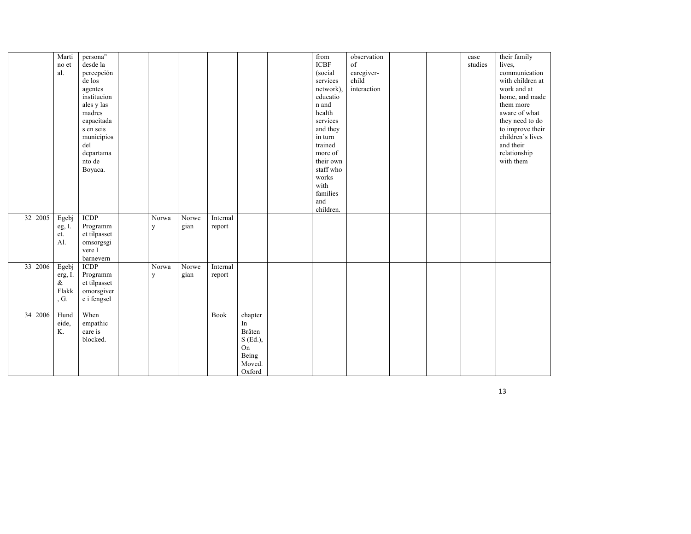|    |         | Marti<br>no et<br>al.                     | persona"<br>desde la<br>percepción<br>de los<br>agentes<br>institucion<br>ales y las<br>madres<br>capacitada<br>s en seis<br>municipios<br>del<br>departama<br>nto de<br>Boyaca. |            |               |                    |                                                                          | from<br><b>ICBF</b><br>(social<br>services<br>network).<br>educatio<br>n and<br>health<br>services<br>and they<br>in turn<br>trained<br>more of<br>their own<br>staff who<br>works<br>with<br>families<br>and | observation<br>of<br>caregiver-<br>child<br>interaction |  | case<br>studies | their family<br>lives,<br>communication<br>with children at<br>work and at<br>home, and made<br>them more<br>aware of what<br>they need to do<br>to improve their<br>children's lives<br>and their<br>relationship<br>with them |
|----|---------|-------------------------------------------|----------------------------------------------------------------------------------------------------------------------------------------------------------------------------------|------------|---------------|--------------------|--------------------------------------------------------------------------|---------------------------------------------------------------------------------------------------------------------------------------------------------------------------------------------------------------|---------------------------------------------------------|--|-----------------|---------------------------------------------------------------------------------------------------------------------------------------------------------------------------------------------------------------------------------|
| 32 | 2005    | Egebj<br>eg, I.<br>et.<br>AI.             | <b>ICDP</b><br>Programm<br>et tilpasset<br>omsorgsgi<br>vere I<br>barnevern                                                                                                      | Norwa<br>y | Norwe<br>gian | Internal<br>report |                                                                          | children.                                                                                                                                                                                                     |                                                         |  |                 |                                                                                                                                                                                                                                 |
|    | 33 2006 | Egebj<br>erg, I.<br>$\&$<br>Flakk<br>, G. | <b>ICDP</b><br>Programm<br>et tilpasset<br>omorsgiver<br>e i fengsel                                                                                                             | Norwa<br>y | Norwe<br>gian | Internal<br>report |                                                                          |                                                                                                                                                                                                               |                                                         |  |                 |                                                                                                                                                                                                                                 |
| 34 | 2006    | Hund<br>eide,<br>K.                       | When<br>empathic<br>care is<br>blocked.                                                                                                                                          |            |               | Book               | chapter<br>In<br>Bråten<br>$S$ (Ed.),<br>On<br>Being<br>Moved.<br>Oxford |                                                                                                                                                                                                               |                                                         |  |                 |                                                                                                                                                                                                                                 |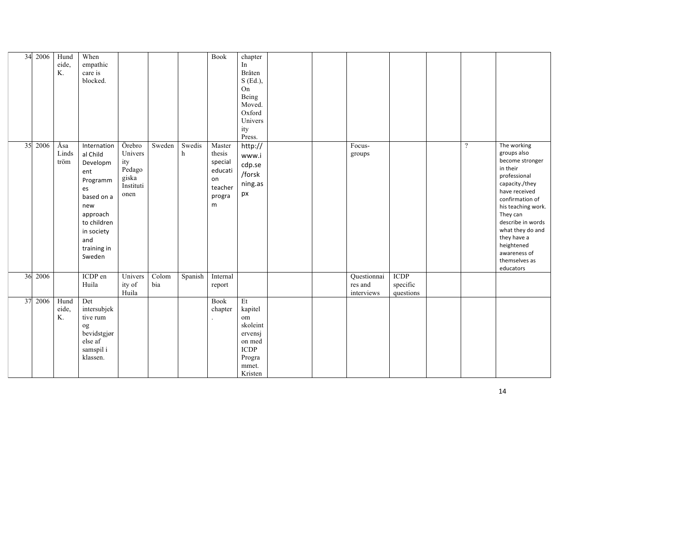| 34 | 2006 | Hund<br>eide,<br>K.  | When<br>empathic<br>care is<br>blocked.                                                                                                                    |                                                                  |              |             | <b>Book</b>                                                            | chapter<br>In<br>Bråten<br>S (Ed.),<br>On<br>Being<br>Moved.<br>Oxford<br>Univers<br>ity<br>Press. |  |                                      |                                      |          |                                                                                                                                                                                                                                                                                       |
|----|------|----------------------|------------------------------------------------------------------------------------------------------------------------------------------------------------|------------------------------------------------------------------|--------------|-------------|------------------------------------------------------------------------|----------------------------------------------------------------------------------------------------|--|--------------------------------------|--------------------------------------|----------|---------------------------------------------------------------------------------------------------------------------------------------------------------------------------------------------------------------------------------------------------------------------------------------|
| 35 | 2006 | Åsa<br>Linds<br>tröm | Internation<br>al Child<br>Developm<br>ent<br>Programm<br>es<br>based on a<br>new<br>approach<br>to children<br>in society<br>and<br>training in<br>Sweden | Örebro<br>Univers<br>ity<br>Pedago<br>giska<br>Instituti<br>onen | Sweden       | Swedis<br>h | Master<br>thesis<br>special<br>educati<br>on<br>teacher<br>progra<br>m | http://<br>www.i<br>cdp.se<br>/forsk<br>ning.as<br>px                                              |  | Focus-<br>groups                     |                                      | $\gamma$ | The working<br>groups also<br>become stronger<br>in their<br>professional<br>capacity./they<br>have received<br>confirmation of<br>his teaching work.<br>They can<br>describe in words<br>what they do and<br>they have a<br>heightened<br>awareness of<br>themselves as<br>educators |
| 36 | 2006 |                      | ICDP en<br>Huila                                                                                                                                           | Univers<br>ity of<br>Huila                                       | Colom<br>bia | Spanish     | Internal<br>report                                                     |                                                                                                    |  | Questionnai<br>res and<br>interviews | <b>ICDP</b><br>specific<br>questions |          |                                                                                                                                                                                                                                                                                       |
| 37 | 2006 | Hund<br>eide,<br>K.  | Det<br>intersubjek<br>tive rum<br>og<br>bevidstgjør<br>else af<br>samspil i<br>klassen.                                                                    |                                                                  |              |             | Book<br>chapter                                                        | Et<br>kapitel<br>om<br>skoleint<br>ervensj<br>on med<br><b>ICDP</b><br>Progra<br>mmet.<br>Kristen  |  |                                      |                                      |          |                                                                                                                                                                                                                                                                                       |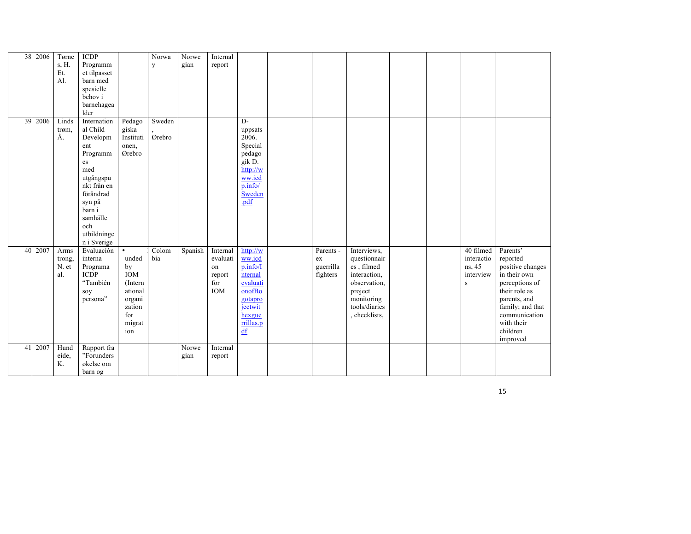| 38 | 2006 | Tørne       | <b>ICDP</b>              |                 | Norwa  | Norwe   | Internal |                    |            |               |  |            |                  |
|----|------|-------------|--------------------------|-----------------|--------|---------|----------|--------------------|------------|---------------|--|------------|------------------|
|    |      | s, H.       | Programm                 |                 | y      | gian    | report   |                    |            |               |  |            |                  |
|    |      | Et.         | et tilpasset             |                 |        |         |          |                    |            |               |  |            |                  |
|    |      | Al.         | barn med                 |                 |        |         |          |                    |            |               |  |            |                  |
|    |      |             | spesielle                |                 |        |         |          |                    |            |               |  |            |                  |
|    |      |             | behov i                  |                 |        |         |          |                    |            |               |  |            |                  |
|    |      |             | barnehagea               |                 |        |         |          |                    |            |               |  |            |                  |
|    |      |             | lder                     |                 |        |         |          |                    |            |               |  |            |                  |
| 39 | 2006 | Linds       | Internation              | Pedago          | Sweden |         |          | $D$ -              |            |               |  |            |                  |
|    |      | trøm,<br>Å. | al Child                 | giska           |        |         |          | uppsats            |            |               |  |            |                  |
|    |      |             | Developm                 | Instituti       | Ørebro |         |          | 2006.              |            |               |  |            |                  |
|    |      |             | ent                      | onen,<br>Ørebro |        |         |          | Special            |            |               |  |            |                  |
|    |      |             | Programm                 |                 |        |         |          | pedago             |            |               |  |            |                  |
|    |      |             | es<br>med                |                 |        |         |          | gik D.<br>http://w |            |               |  |            |                  |
|    |      |             |                          |                 |        |         |          | ww.icd             |            |               |  |            |                  |
|    |      |             | utgångspu<br>nkt från en |                 |        |         |          | p.info/            |            |               |  |            |                  |
|    |      |             | förändrad                |                 |        |         |          | Sweden             |            |               |  |            |                  |
|    |      |             | syn på                   |                 |        |         |          | .pdf               |            |               |  |            |                  |
|    |      |             | barn i                   |                 |        |         |          |                    |            |               |  |            |                  |
|    |      |             | samhälle                 |                 |        |         |          |                    |            |               |  |            |                  |
|    |      |             | och                      |                 |        |         |          |                    |            |               |  |            |                  |
|    |      |             | utbildninge              |                 |        |         |          |                    |            |               |  |            |                  |
|    |      |             | n i Sverige              |                 |        |         |          |                    |            |               |  |            |                  |
| 40 | 2007 | Arms        | Evaluación               | $\bullet$       | Colom  | Spanish | Internal | http://w           | Parents -  | Interviews,   |  | 40 filmed  | Parents'         |
|    |      | trong,      | interna                  | unded           | bia    |         | evaluati | ww.icd             | ${\rm ex}$ | questionnair  |  | interactio | reported         |
|    |      | N. et       | Programa                 | by              |        |         | on       | p.info/I           | guerrilla  | es, filmed    |  | ns, 45     | positive changes |
|    |      | al.         | <b>ICDP</b>              | <b>IOM</b>      |        |         | report   | nternal            | fighters   | interaction.  |  | interview  | in their own     |
|    |      |             | "También                 | (Intern         |        |         | for      | evaluati           |            | observation,  |  | ${\bf S}$  | perceptions of   |
|    |      |             | soy                      | ational         |        |         | IOM      | onofBo             |            | project       |  |            | their role as    |
|    |      |             | persona"                 | organi          |        |         |          | gotapro            |            | monitoring    |  |            | parents, and     |
|    |      |             |                          | zation          |        |         |          | jectwit            |            | tools/diaries |  |            | family; and that |
|    |      |             |                          | for             |        |         |          | hexgue             |            | , checklists, |  |            | communication    |
|    |      |             |                          | migrat          |        |         |          | rrillas.p          |            |               |  |            | with their       |
|    |      |             |                          | ion             |        |         |          | $\underline{df}$   |            |               |  |            | children         |
|    |      |             |                          |                 |        |         |          |                    |            |               |  |            | improved         |
| 41 | 2007 | Hund        | Rapport fra              |                 |        | Norwe   | Internal |                    |            |               |  |            |                  |
|    |      | eide,       | "Forunders               |                 |        | gian    | report   |                    |            |               |  |            |                  |
|    |      | K.          | økelse om                |                 |        |         |          |                    |            |               |  |            |                  |
|    |      |             | barn og                  |                 |        |         |          |                    |            |               |  |            |                  |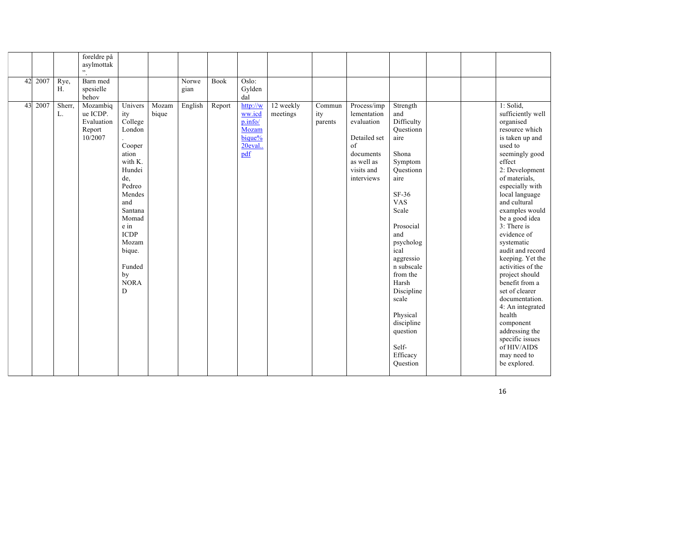|    |      |              | foreldre på<br>asylmottak<br>,,                         |                                                                                                                                                                                                                 |                |               |             |                                                                    |                       |                                       |                                                                                                                       |                                                                                                                                                                                                                                                                                                                      |  |                                                                                                                                                                                                                                                                                                                                                                                                                                                                                                                                                                    |
|----|------|--------------|---------------------------------------------------------|-----------------------------------------------------------------------------------------------------------------------------------------------------------------------------------------------------------------|----------------|---------------|-------------|--------------------------------------------------------------------|-----------------------|---------------------------------------|-----------------------------------------------------------------------------------------------------------------------|----------------------------------------------------------------------------------------------------------------------------------------------------------------------------------------------------------------------------------------------------------------------------------------------------------------------|--|--------------------------------------------------------------------------------------------------------------------------------------------------------------------------------------------------------------------------------------------------------------------------------------------------------------------------------------------------------------------------------------------------------------------------------------------------------------------------------------------------------------------------------------------------------------------|
| 42 | 2007 | Rye,<br>Η.   | Barn med<br>spesielle<br>behov                          |                                                                                                                                                                                                                 |                | Norwe<br>gian | <b>Book</b> | Oslo:<br>Gylden<br>dal                                             |                       |                                       |                                                                                                                       |                                                                                                                                                                                                                                                                                                                      |  |                                                                                                                                                                                                                                                                                                                                                                                                                                                                                                                                                                    |
| 43 | 2007 | Sherr,<br>L. | Mozambiq<br>ue ICDP.<br>Evaluation<br>Report<br>10/2007 | Univers<br>ity<br>College<br>London<br>Cooper<br>ation<br>with K.<br>Hundei<br>de,<br>Pedreo<br>Mendes<br>and<br>Santana<br>Momad<br>e in<br><b>ICDP</b><br>Mozam<br>bique.<br>Funded<br>by<br><b>NORA</b><br>D | Mozam<br>bique | English       | Report      | http://w<br>ww.icd<br>p.info/<br>Mozam<br>bique%<br>20eval.<br>pdf | 12 weekly<br>meetings | $\overline{Commun}$<br>ity<br>parents | Process/imp<br>lementation<br>evaluation<br>Detailed set<br>of<br>documents<br>as well as<br>visits and<br>interviews | Strength<br>and<br>Difficulty<br>Questionn<br>aire<br>Shona<br>Symptom<br>Questionn<br>aire<br>$SF-36$<br><b>VAS</b><br>Scale<br>Prosocial<br>and<br>psycholog<br>ical<br>aggressio<br>n subscale<br>from the<br>Harsh<br>Discipline<br>scale<br>Physical<br>discipline<br>question<br>Self-<br>Efficacy<br>Question |  | 1: Solid,<br>sufficiently well<br>organised<br>resource which<br>is taken up and<br>used to<br>seemingly good<br>effect<br>2: Development<br>of materials,<br>especially with<br>local language<br>and cultural<br>examples would<br>be a good idea<br>3: There is<br>evidence of<br>systematic<br>audit and record<br>keeping. Yet the<br>activities of the<br>project should<br>benefit from a<br>set of clearer<br>documentation.<br>4: An integrated<br>health<br>component<br>addressing the<br>specific issues<br>of HIV/AIDS<br>may need to<br>be explored. |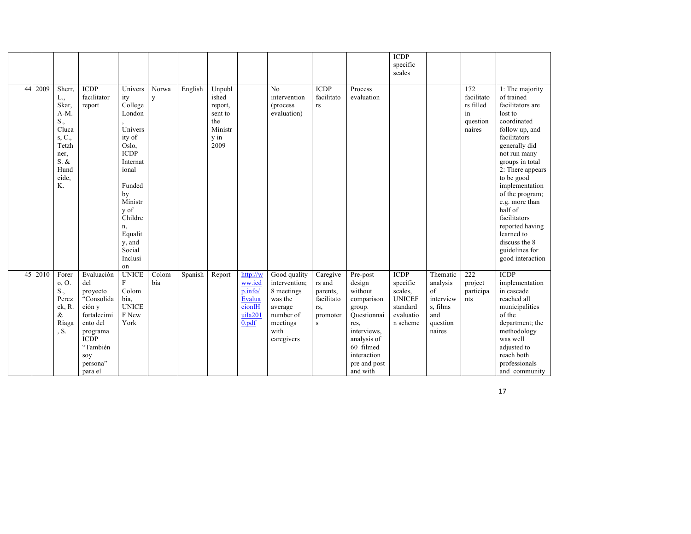|    |      |                                                                                                             |                                                                                                                                                       |                                                                                                                                                                                                           |              |         |                                                                         |                                                                       |                                                                                                                  |                                                                      |                                                                                                                                                                    | <b>ICDP</b><br>specific<br>scales                                                        |                                                                                  |                                                                         |                                                                                                                                                                                                                                                                                                                                                                               |
|----|------|-------------------------------------------------------------------------------------------------------------|-------------------------------------------------------------------------------------------------------------------------------------------------------|-----------------------------------------------------------------------------------------------------------------------------------------------------------------------------------------------------------|--------------|---------|-------------------------------------------------------------------------|-----------------------------------------------------------------------|------------------------------------------------------------------------------------------------------------------|----------------------------------------------------------------------|--------------------------------------------------------------------------------------------------------------------------------------------------------------------|------------------------------------------------------------------------------------------|----------------------------------------------------------------------------------|-------------------------------------------------------------------------|-------------------------------------------------------------------------------------------------------------------------------------------------------------------------------------------------------------------------------------------------------------------------------------------------------------------------------------------------------------------------------|
| 44 | 2009 | Sherr.<br>L.,<br>Skar.<br>$A-M$ .<br>S.,<br>Cluca<br>s, C.,<br>Tetzh<br>ner,<br>S. &<br>Hund<br>eide.<br>K. | <b>ICDP</b><br>facilitator<br>report                                                                                                                  | Univers<br>ity<br>College<br>London<br>Univers<br>ity of<br>Oslo.<br><b>ICDP</b><br>Internat<br>ional<br>Funded<br>by<br>Ministr<br>y of<br>Childre<br>n,<br>Equalit<br>y, and<br>Social<br>Inclusi<br>on | Norwa<br>y   | English | Unpubl<br>ished<br>report,<br>sent to<br>the<br>Ministr<br>y in<br>2009 |                                                                       | No<br>intervention<br>(process)<br>evaluation)                                                                   | <b>ICDP</b><br>facilitato<br>rs                                      | Process<br>evaluation                                                                                                                                              |                                                                                          |                                                                                  | $\overline{172}$<br>facilitato<br>rs filled<br>in<br>question<br>naires | 1: The majority<br>of trained<br>facilitators are<br>lost to<br>coordinated<br>follow up, and<br>facilitators<br>generally did<br>not run many<br>groups in total<br>2: There appears<br>to be good<br>implementation<br>of the program;<br>e.g. more than<br>half of<br>facilitators<br>reported having<br>learned to<br>discuss the 8<br>guidelines for<br>good interaction |
| 45 | 2010 | Forer<br>0, 0.<br>S.,<br>Percz<br>ek, R.<br>&<br>Riaga<br>S <sub>1</sub>                                    | Evaluación<br>del<br>proyecto<br>"Consolida<br>ción y<br>fortalecimi<br>ento del<br>programa<br><b>ICDP</b><br>"También<br>soy<br>persona"<br>para el | <b>UNICE</b><br>F<br>Colom<br>bia,<br><b>UNICE</b><br>F New<br>York                                                                                                                                       | Colom<br>bia | Spanish | Report                                                                  | http://w<br>ww.icd<br>p.info/<br>Evalua<br>cionlH<br>uila201<br>0.pdf | Good quality<br>intervention;<br>8 meetings<br>was the<br>average<br>number of<br>meetings<br>with<br>caregivers | Caregive<br>rs and<br>parents,<br>facilitato<br>rs,<br>promoter<br>s | Pre-post<br>design<br>without<br>comparison<br>group.<br>Questionnai<br>res.<br>interviews,<br>analysis of<br>60 filmed<br>interaction<br>pre and post<br>and with | <b>ICDP</b><br>specific<br>scales,<br><b>UNICEF</b><br>standard<br>evaluatio<br>n scheme | Thematic<br>analysis<br>of<br>interview<br>s, films<br>and<br>question<br>naires | 222<br>project<br>participa<br>nts                                      | <b>ICDP</b><br>implementation<br>in cascade<br>reached all<br>municipalities<br>of the<br>department; the<br>methodology<br>was well<br>adjusted to<br>reach both<br>professionals<br>and community                                                                                                                                                                           |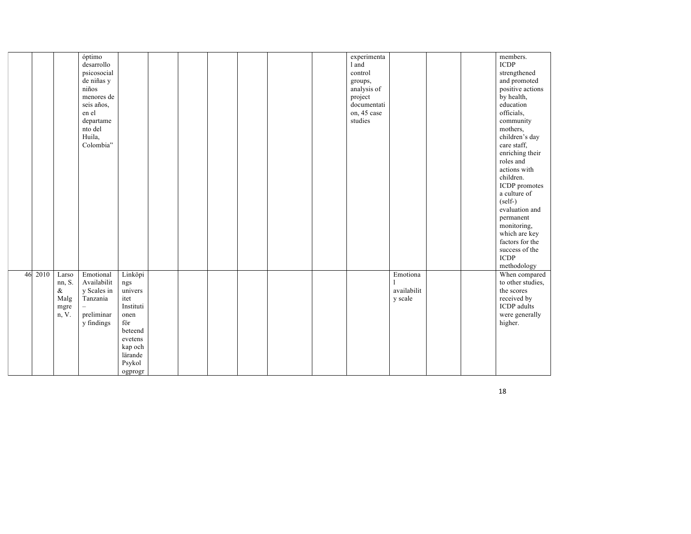|    |      |                                                  | óptimo<br>desarrollo<br>psicosocial<br>de niñas y<br>niños<br>menores de<br>seis años,<br>en el<br>departame<br>nto del<br>Huila,<br>Colombia" |                                                                                                                                |  |  |  | experimenta<br>1 and<br>control<br>groups,<br>analysis of<br>project<br>documentati<br>on, 45 case<br>studies |                                    |  | members.<br><b>ICDP</b><br>strengthened<br>and promoted<br>positive actions<br>by health,<br>education<br>officials,<br>community<br>mothers,<br>children's day<br>care staff,<br>enriching their<br>roles and<br>actions with<br>children.<br>ICDP promotes<br>a culture of<br>$(self-)$<br>evaluation and<br>permanent<br>monitoring,<br>which are key<br>factors for the<br>success of the<br>$\ensuremath{\mathsf{ICDP}}\xspace$ |
|----|------|--------------------------------------------------|------------------------------------------------------------------------------------------------------------------------------------------------|--------------------------------------------------------------------------------------------------------------------------------|--|--|--|---------------------------------------------------------------------------------------------------------------|------------------------------------|--|--------------------------------------------------------------------------------------------------------------------------------------------------------------------------------------------------------------------------------------------------------------------------------------------------------------------------------------------------------------------------------------------------------------------------------------|
| 46 | 2010 | Larso<br>nn, S.<br>$\&$<br>Malg<br>mgre<br>n, V. | Emotional<br>Availabilit<br>y Scales in<br>Tanzania<br>preliminar<br>y findings                                                                | Linköpi<br>ngs<br>univers<br>itet<br>Instituti<br>onen<br>för<br>beteend<br>evetens<br>kap och<br>lärande<br>Psykol<br>ogprogr |  |  |  |                                                                                                               | Emotiona<br>availabilit<br>y scale |  | methodology<br>When compared<br>to other studies,<br>the scores<br>received by<br><b>ICDP</b> adults<br>were generally<br>higher.                                                                                                                                                                                                                                                                                                    |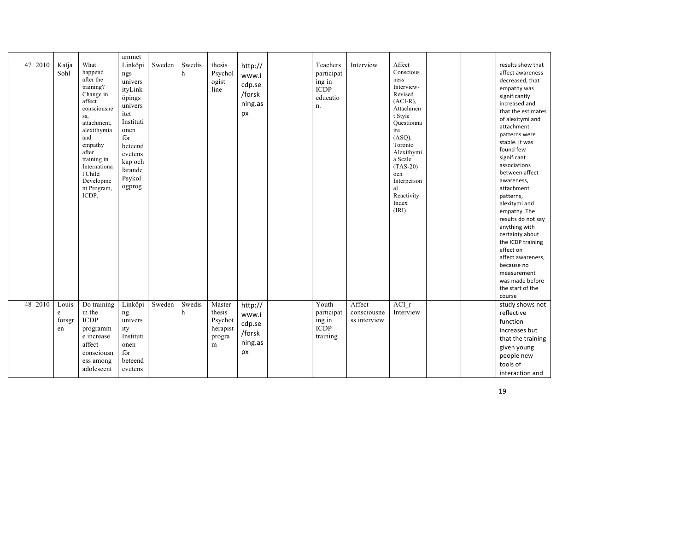|    |      |                            |                                                                                                                                                                                                                                | ammet                                                                                                                                                         |        |             |                                                        |                                                       |                                                                   |                                       |                                                                                                                                                                                                                                           |  |                                                                                                                                                                                                                                                                                                                                                                                                                                                                                                                                             |
|----|------|----------------------------|--------------------------------------------------------------------------------------------------------------------------------------------------------------------------------------------------------------------------------|---------------------------------------------------------------------------------------------------------------------------------------------------------------|--------|-------------|--------------------------------------------------------|-------------------------------------------------------|-------------------------------------------------------------------|---------------------------------------|-------------------------------------------------------------------------------------------------------------------------------------------------------------------------------------------------------------------------------------------|--|---------------------------------------------------------------------------------------------------------------------------------------------------------------------------------------------------------------------------------------------------------------------------------------------------------------------------------------------------------------------------------------------------------------------------------------------------------------------------------------------------------------------------------------------|
| 47 | 2010 | Katja<br>Sohl              | What<br>happend<br>after the<br>training?<br>Change in<br>affect<br>consciousne<br>SS,<br>attachment.<br>alexithymia<br>and<br>empathy<br>after<br>training in<br>Internationa<br>1 Child<br>Developme<br>nt Program,<br>ICDP. | Linköpi<br>ngs<br>univers<br>ityLink<br>öpings<br>univers<br>itet<br>Instituti<br>onen<br>för<br>beteend<br>evetens<br>kap och<br>lärande<br>Psykol<br>ogprog | Sweden | Swedis<br>h | thesis<br>Psychol<br>ogist<br>line                     | http://<br>www.i<br>cdp.se<br>/forsk<br>ning.as<br>px | Teachers<br>participat<br>ing in<br><b>ICDP</b><br>educatio<br>n. | Interview                             | Affect<br>Conscious<br>ness<br>Interview-<br>Revised<br>$(ACI-R)$ ,<br>Attachmen<br>t Style<br>Questionna<br>ire<br>(ASQ),<br>Toronto<br>Alexithymi<br>a Scale<br>$(TAS-20)$<br>och<br>Interperson<br>al<br>Reactivity<br>Index<br>(IRI). |  | results show that<br>affect awareness<br>decreased, that<br>empathy was<br>significantly<br>increased and<br>that the estimates<br>of alexitymi and<br>attachment<br>patterns were<br>stable. It was<br>found few<br>significant<br>associations<br>between affect<br>awareness,<br>attachment<br>patterns,<br>alexitymi and<br>empathy. The<br>results do not say<br>anything with<br>certainty about<br>the ICDP training<br>effect on<br>affect awareness,<br>because no<br>measurement<br>was made before<br>the start of the<br>course |
| 48 | 2010 | Louis<br>e<br>forsgr<br>en | Do training<br>in the<br><b>ICDP</b><br>programm<br>e increase<br>affect<br>consciousn<br>ess among<br>adolescent                                                                                                              | Linköpi<br>ng<br>univers<br>ity<br>Instituti<br>onen<br>för<br>beteend<br>evetens                                                                             | Sweden | Swedis<br>h | Master<br>thesis<br>Psychot<br>herapist<br>progra<br>m | http://<br>www.i<br>cdp.se<br>/forsk<br>ning.as<br>px | Youth<br>participat<br>ing in<br><b>ICDP</b><br>training          | Affect<br>consciousne<br>ss interview | ACI r<br>Interview                                                                                                                                                                                                                        |  | study shows not<br>reflective<br>function<br>increases but<br>that the training<br>given young<br>people new<br>tools of<br>interaction and                                                                                                                                                                                                                                                                                                                                                                                                 |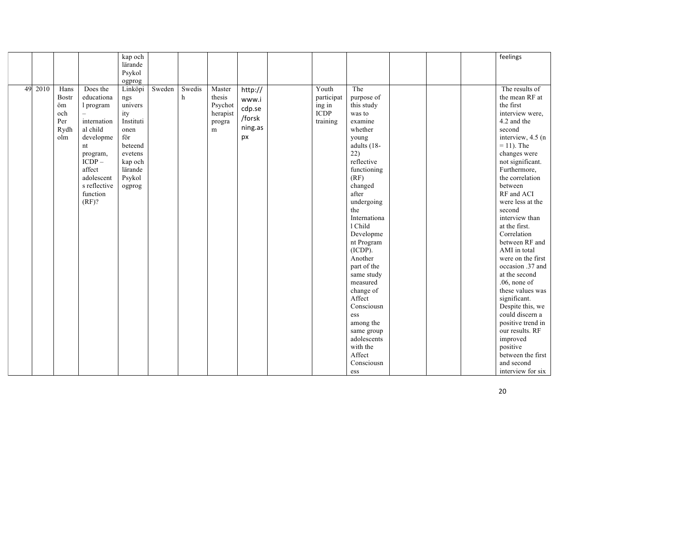|         |              |              | kap och   |        |        |           |         |             |              |  | feelings           |
|---------|--------------|--------------|-----------|--------|--------|-----------|---------|-------------|--------------|--|--------------------|
|         |              |              | lärande   |        |        |           |         |             |              |  |                    |
|         |              |              | Psykol    |        |        |           |         |             |              |  |                    |
|         |              |              | ogprog    |        |        |           |         |             |              |  |                    |
| 49 2010 | Hans         | Does the     | Linköpi   | Sweden | Swedis | Master    | http:// | Youth       | The          |  | The results of     |
|         | <b>Bostr</b> | educationa   | ngs       |        | h      | thesis    | www.i   | participat  | purpose of   |  | the mean RF at     |
|         | öm           | l program    | univers   |        |        | Psychot   |         | ing in      | this study   |  | the first          |
|         | och          |              | ity       |        |        | herapist  | cdp.se  | <b>ICDP</b> | was to       |  | interview were,    |
|         | Per          | internation  | Instituti |        |        | progra    | /forsk  | training    | examine      |  | 4.2 and the        |
|         | Rydh         | al child     | onen      |        |        | ${\bf m}$ | ning.as |             | whether      |  | second             |
|         | olm          | developme    | för       |        |        |           | px      |             | young        |  | interview, 4.5 (n) |
|         |              | nt           | beteend   |        |        |           |         |             | adults (18-  |  | $= 11$ ). The      |
|         |              | program,     | evetens   |        |        |           |         |             | 22)          |  | changes were       |
|         |              | $ICDP -$     | kap och   |        |        |           |         |             | reflective   |  | not significant.   |
|         |              | affect       | lärande   |        |        |           |         |             | functioning  |  | Furthermore,       |
|         |              | adolescent   | Psykol    |        |        |           |         |             | (RF)         |  | the correlation    |
|         |              | s reflective | ogprog    |        |        |           |         |             | changed      |  | between            |
|         |              | function     |           |        |        |           |         |             | after        |  | RF and ACI         |
|         |              | (RF)?        |           |        |        |           |         |             | undergoing   |  | were less at the   |
|         |              |              |           |        |        |           |         |             | the          |  | second             |
|         |              |              |           |        |        |           |         |             | Internationa |  | interview than     |
|         |              |              |           |        |        |           |         |             | 1 Child      |  | at the first.      |
|         |              |              |           |        |        |           |         |             | Developme    |  | Correlation        |
|         |              |              |           |        |        |           |         |             | nt Program   |  | between RF and     |
|         |              |              |           |        |        |           |         |             | (ICDP).      |  | AMI in total       |
|         |              |              |           |        |        |           |         |             | Another      |  | were on the first  |
|         |              |              |           |        |        |           |         |             | part of the  |  | occasion .37 and   |
|         |              |              |           |        |        |           |         |             | same study   |  | at the second      |
|         |              |              |           |        |        |           |         |             | measured     |  | $.06$ , none of    |
|         |              |              |           |        |        |           |         |             | change of    |  | these values was   |
|         |              |              |           |        |        |           |         |             | Affect       |  | significant.       |
|         |              |              |           |        |        |           |         |             | Consciousn   |  | Despite this, we   |
|         |              |              |           |        |        |           |         |             | ess          |  | could discern a    |
|         |              |              |           |        |        |           |         |             | among the    |  | positive trend in  |
|         |              |              |           |        |        |           |         |             | same group   |  | our results. RF    |
|         |              |              |           |        |        |           |         |             | adolescents  |  | improved           |
|         |              |              |           |        |        |           |         |             | with the     |  | positive           |
|         |              |              |           |        |        |           |         |             | Affect       |  | between the first  |
|         |              |              |           |        |        |           |         |             | Consciousn   |  | and second         |
|         |              |              |           |        |        |           |         |             | ess          |  | interview for six  |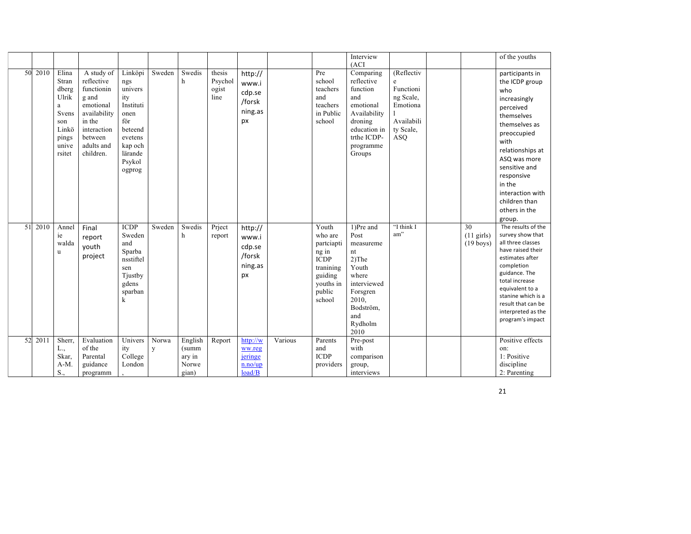|    |         |                                                                                            |                                                                                                                                             |                                                                                                                              |            |                                              |                                    |                                                       |         |                                                                                                                 | Interview<br>(ACI)                                                                                                                            |                                                                                         |                                           | of the youths                                                                                                                                                                                                                                                            |
|----|---------|--------------------------------------------------------------------------------------------|---------------------------------------------------------------------------------------------------------------------------------------------|------------------------------------------------------------------------------------------------------------------------------|------------|----------------------------------------------|------------------------------------|-------------------------------------------------------|---------|-----------------------------------------------------------------------------------------------------------------|-----------------------------------------------------------------------------------------------------------------------------------------------|-----------------------------------------------------------------------------------------|-------------------------------------------|--------------------------------------------------------------------------------------------------------------------------------------------------------------------------------------------------------------------------------------------------------------------------|
|    | 50 2010 | Elina<br>Stran<br>dberg<br>Ulrik<br>a<br>Svens<br>son<br>Linkö<br>pings<br>unive<br>rsitet | A study of<br>reflective<br>functionin<br>g and<br>emotional<br>availability<br>in the<br>interaction<br>between<br>adults and<br>children. | Linköpi<br>ngs<br>univers<br>ity<br>Instituti<br>onen<br>för<br>beteend<br>evetens<br>kap och<br>lärande<br>Psykol<br>ogprog | Sweden     | Swedis<br>h                                  | thesis<br>Psychol<br>ogist<br>line | http://<br>www.i<br>cdp.se<br>/forsk<br>ning.as<br>px |         | Pre<br>school<br>teachers<br>and<br>teachers<br>in Public<br>school                                             | Comparing<br>reflective<br>function<br>and<br>emotional<br>Availability<br>droning<br>education in<br>trthe ICDP-<br>programme<br>Groups      | (Reflectiv<br>e<br>Functioni<br>ng Scale,<br>Emotiona<br>Availabili<br>ty Scale,<br>ASQ |                                           | participants in<br>the ICDP group<br>who<br>increasingly<br>perceived<br>themselves<br>themselves as<br>preoccupied<br>with<br>relationships at<br>ASQ was more<br>sensitive and<br>responsive<br>in the<br>interaction with<br>children than<br>others in the<br>group. |
| 51 | 2010    | Annel<br>ie<br>walda<br>u                                                                  | Final<br>report<br>youth<br>project                                                                                                         | <b>ICDP</b><br>Sweden<br>and<br>Sparba<br>nsstiftel<br>sen<br>Tjustby<br>gdens<br>sparban<br>k                               | Sweden     | Swedis<br>h                                  | Priect<br>report                   | http://<br>www.i<br>cdp.se<br>/forsk<br>ning.as<br>px |         | Youth<br>who are<br>partciapti<br>ng in<br><b>ICDP</b><br>tranining<br>guiding<br>youths in<br>public<br>school | 1)Pre and<br>Post<br>measureme<br>nt<br>$2)$ The<br>Youth<br>where<br>interviewed<br>Forsgren<br>2010,<br>Bodström,<br>and<br>Rydholm<br>2010 | "I think I<br>am"                                                                       | 30<br>$(11$ girls)<br>$(19 \text{ boys})$ | The results of the<br>survey show that<br>all three classes<br>have raised their<br>estimates after<br>completion<br>guidance. The<br>total increase<br>equivalent to a<br>stanine which is a<br>result that can be<br>interpreted as the<br>program's impact            |
| 52 | 2011    | Sherr,<br>L.,<br>Skar,<br>A-M.<br>S.,                                                      | Evaluation<br>of the<br>Parental<br>guidance<br>programm                                                                                    | Univers<br>ity<br>College<br>London                                                                                          | Norwa<br>y | English<br>(summ<br>ary in<br>Norwe<br>gian) | Report                             | http://w<br>ww.reg<br>jeringe<br>n.no/up<br>load/B    | Various | Parents<br>and<br><b>ICDP</b><br>providers                                                                      | Pre-post<br>with<br>comparison<br>group,<br>interviews                                                                                        |                                                                                         |                                           | Positive effects<br>on:<br>1: Positive<br>discipline<br>2: Parenting                                                                                                                                                                                                     |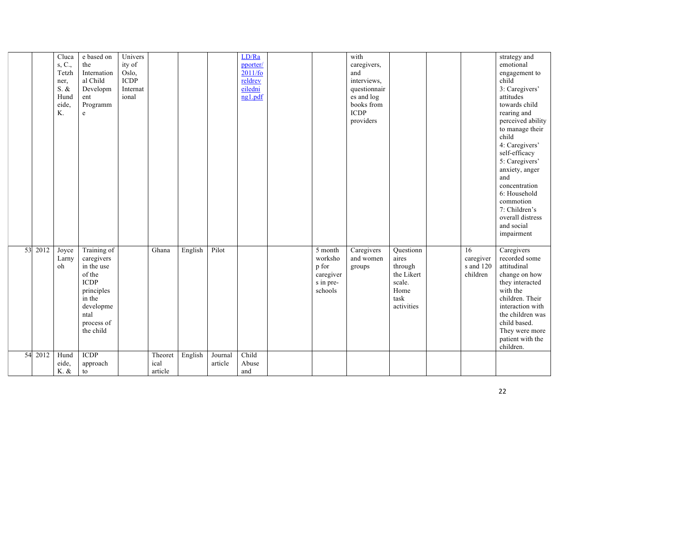|    |      | Cluca<br>s, C.,<br>Tetzh<br>ner,<br>S. &<br>Hund<br>eide,<br>K. | e based on<br>the<br>Internation<br>al Child<br>Developm<br>ent<br>Programm<br>$\mathbf e$                                               | Univers<br>ity of<br>Oslo,<br><b>ICDP</b><br>Internat<br>ional |                            |         |                    | LD/Ra<br>pporter/<br>2011/fo<br>reldrev<br>eiledni<br>ng1.pdf |                                                                  | with<br>caregivers,<br>and<br>interviews,<br>questionnair<br>es and log<br>books from<br><b>ICDP</b><br>providers |                                                                                     |                                          | strategy and<br>emotional<br>engagement to<br>child<br>3: Caregivers'<br>attitudes<br>towards child<br>rearing and<br>perceived ability<br>to manage their<br>child<br>4: Caregivers'<br>self-efficacy<br>5: Caregivers'<br>anxiety, anger<br>and<br>concentration<br>6: Household<br>commotion<br>7: Children's<br>overall distress<br>and social<br>impairment |
|----|------|-----------------------------------------------------------------|------------------------------------------------------------------------------------------------------------------------------------------|----------------------------------------------------------------|----------------------------|---------|--------------------|---------------------------------------------------------------|------------------------------------------------------------------|-------------------------------------------------------------------------------------------------------------------|-------------------------------------------------------------------------------------|------------------------------------------|------------------------------------------------------------------------------------------------------------------------------------------------------------------------------------------------------------------------------------------------------------------------------------------------------------------------------------------------------------------|
| 53 | 2012 | Joyce<br>Larny<br>oh                                            | Training of<br>caregivers<br>in the use<br>of the<br><b>ICDP</b><br>principles<br>in the<br>developme<br>ntal<br>process of<br>the child |                                                                | Ghana                      | English | Pilot              |                                                               | 5 month<br>worksho<br>p for<br>caregiver<br>s in pre-<br>schools | Caregivers<br>and women<br>groups                                                                                 | Questionn<br>aires<br>through<br>the Likert<br>scale.<br>Home<br>task<br>activities | 16<br>caregiver<br>s and 120<br>children | Caregivers<br>recorded some<br>attitudinal<br>change on how<br>they interacted<br>with the<br>children. Their<br>interaction with<br>the children was<br>child based.<br>They were more<br>patient with the<br>children.                                                                                                                                         |
| 54 | 2012 | Hund<br>eide,<br>K. &                                           | <b>ICDP</b><br>approach<br>to                                                                                                            |                                                                | Theoret<br>ical<br>article | English | Journal<br>article | Child<br>Abuse<br>and                                         |                                                                  |                                                                                                                   |                                                                                     |                                          |                                                                                                                                                                                                                                                                                                                                                                  |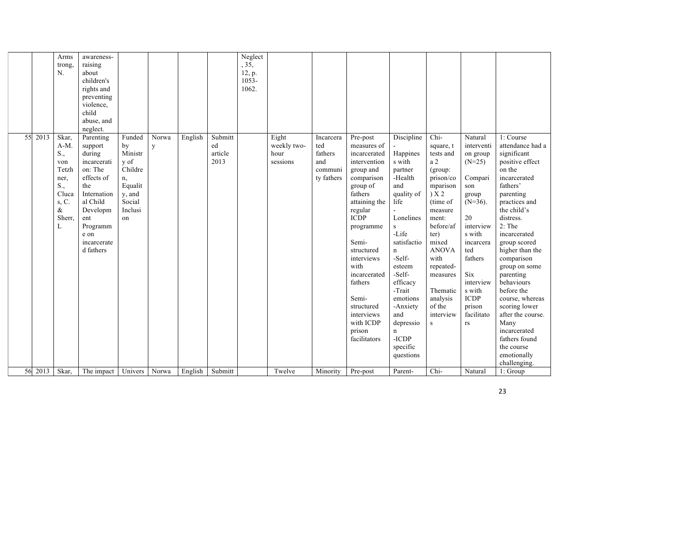|    |               | Arms<br>trong,<br>N.                                                                         | awareness-<br>raising<br>about<br>children's<br>rights and<br>preventing<br>violence.<br>child<br>abuse, and<br>neglect.                                                    |                                                                                                  |                      |                                  |                                  | Neglect<br>, 35,<br>12, p.<br>1053-<br>1062. |                                          |                                                             |                                                                                                                                                                                                                                                                                                                       |                                                                                                                                                                                                                                                                                                      |                                                                                                                                                                                                                                                                  |                                                                                                                                                                                                                        |                                                                                                                                                                                                                                                                                                                                                                                                                                                       |
|----|---------------|----------------------------------------------------------------------------------------------|-----------------------------------------------------------------------------------------------------------------------------------------------------------------------------|--------------------------------------------------------------------------------------------------|----------------------|----------------------------------|----------------------------------|----------------------------------------------|------------------------------------------|-------------------------------------------------------------|-----------------------------------------------------------------------------------------------------------------------------------------------------------------------------------------------------------------------------------------------------------------------------------------------------------------------|------------------------------------------------------------------------------------------------------------------------------------------------------------------------------------------------------------------------------------------------------------------------------------------------------|------------------------------------------------------------------------------------------------------------------------------------------------------------------------------------------------------------------------------------------------------------------|------------------------------------------------------------------------------------------------------------------------------------------------------------------------------------------------------------------------|-------------------------------------------------------------------------------------------------------------------------------------------------------------------------------------------------------------------------------------------------------------------------------------------------------------------------------------------------------------------------------------------------------------------------------------------------------|
| 55 | 2013          | Skar,<br>$A-M$ .<br>S.,<br>von<br>Tetzh<br>ner,<br>S.,<br>Cluca<br>s, C.<br>&<br>Sherr,<br>L | Parenting<br>support<br>during<br>incarcerati<br>on: The<br>effects of<br>the<br>Internation<br>al Child<br>Developm<br>ent<br>Programm<br>e on<br>incarcerate<br>d fathers | Funded<br>by<br>Ministr<br>y of<br>Childre<br>n,<br>Equalit<br>y, and<br>Social<br>Inclusi<br>on | Norwa<br>$\mathbf y$ | English                          | Submitt<br>ed<br>article<br>2013 |                                              | Eight<br>weekly two-<br>hour<br>sessions | Incarcera<br>ted<br>fathers<br>and<br>communi<br>ty fathers | Pre-post<br>measures of<br>incarcerated<br>intervention<br>group and<br>comparison<br>group of<br>fathers<br>attaining the<br>regular<br><b>ICDP</b><br>programme<br>Semi-<br>structured<br>interviews<br>with<br>incarcerated<br>fathers<br>Semi-<br>structured<br>interviews<br>with ICDP<br>prison<br>facilitators | Discipline<br>Happines<br>s with<br>partner<br>-Health<br>and<br>quality of<br>life<br>Lonelines<br>$\,$ s<br>-Life<br>satisfactio<br>$\mathbf n$<br>-Self-<br>esteem<br>-Self-<br>efficacy<br>-Trait<br>emotions<br>-Anxiety<br>and<br>depressio<br>$\mathbf n$<br>$-ICDP$<br>specific<br>questions | Chi-<br>square, t<br>tests and<br>a <sub>2</sub><br>(group:<br>prison/co<br>mparison<br>) X 2<br>(time of<br>measure<br>ment:<br>before/af<br>ter)<br>mixed<br><b>ANOVA</b><br>with<br>repeated-<br>measures<br>Thematic<br>analysis<br>of the<br>interview<br>s | Natural<br>interventi<br>on group<br>$(N=25)$<br>Compari<br>son<br>group<br>$(N=36)$ .<br>20<br>interview<br>s with<br>incarcera<br>ted<br>fathers<br>Six<br>interview<br>s with<br>ICDP<br>prison<br>facilitato<br>rs | 1: Course<br>attendance had a<br>significant<br>positive effect<br>on the<br>incarcerated<br>fathers'<br>parenting<br>practices and<br>the child's<br>distress.<br>$2:$ The<br>incarcerated<br>group scored<br>higher than the<br>comparison<br>group on some<br>parenting<br>behaviours<br>before the<br>course, whereas<br>scoring lower<br>after the course.<br>Many<br>incarcerated<br>fathers found<br>the course<br>emotionally<br>challenging. |
|    | 56 2013 Skar, |                                                                                              | The impact                                                                                                                                                                  | Univers                                                                                          | Norwa                | English $\overline{\phantom{a}}$ | Submitt                          |                                              | Twelve                                   | Minority                                                    | Pre-post                                                                                                                                                                                                                                                                                                              | Parent-                                                                                                                                                                                                                                                                                              | Chi-                                                                                                                                                                                                                                                             | Natural                                                                                                                                                                                                                | 1: Group                                                                                                                                                                                                                                                                                                                                                                                                                                              |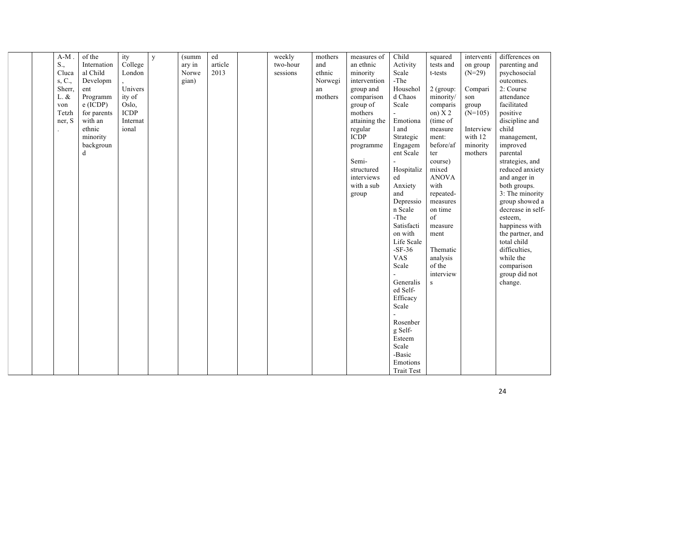|  | $A-M$ .     | of the      | ity         | $\mathbf{v}$ | (summ  | ed      | weekly   | mothers | measures of   | Child      | squared      | interventi | differences on    |
|--|-------------|-------------|-------------|--------------|--------|---------|----------|---------|---------------|------------|--------------|------------|-------------------|
|  | $S_{\cdot}$ | Internation | College     |              | ary in | article | two-hour | and     | an ethnic     | Activity   | tests and    | on group   | parenting and     |
|  | Cluca       | al Child    | London      |              | Norwe  | 2013    | sessions | ethnic  | minority      | Scale      | t-tests      | $(N=29)$   | psychosocial      |
|  | s, C.,      | Developm    |             |              | gian)  |         |          | Norwegi | intervention  | $-$ The    |              |            | outcomes.         |
|  | Sherr,      | ent         | Univers     |              |        |         |          | an      | group and     | Househol   | $2$ (group:  | Compari    | 2: Course         |
|  | L. &        | Programm    | ity of      |              |        |         |          | mothers | comparison    | d Chaos    | minority/    | son        | attendance        |
|  | von         | $e$ (ICDP)  | Oslo.       |              |        |         |          |         | group of      | Scale      | comparis     | group      | facilitated       |
|  | Tetzh       | for parents | <b>ICDP</b> |              |        |         |          |         | mothers       |            | on) $X2$     | $(N=105)$  | positive          |
|  | ner, S      | with an     | Internat    |              |        |         |          |         | attaining the | Emotiona   | (time of     |            | discipline and    |
|  |             | ethnic      | ional       |              |        |         |          |         | regular       | 1 and      | measure      | Interview  | child             |
|  |             | minority    |             |              |        |         |          |         | <b>ICDP</b>   | Strategic  | ment:        | with 12    | management,       |
|  |             | backgroun   |             |              |        |         |          |         | programme     | Engagem    | before/af    | minority   | improved          |
|  |             | d           |             |              |        |         |          |         |               | ent Scale  | ter          | mothers    | parental          |
|  |             |             |             |              |        |         |          |         | Semi-         |            | course)      |            | strategies, and   |
|  |             |             |             |              |        |         |          |         | structured    | Hospitaliz | mixed        |            | reduced anxiety   |
|  |             |             |             |              |        |         |          |         | interviews    | ed         | <b>ANOVA</b> |            | and anger in      |
|  |             |             |             |              |        |         |          |         | with a sub    | Anxiety    | with         |            | both groups.      |
|  |             |             |             |              |        |         |          |         | group         | and        | repeated-    |            | 3: The minority   |
|  |             |             |             |              |        |         |          |         |               | Depressio  | measures     |            | group showed a    |
|  |             |             |             |              |        |         |          |         |               | n Scale    | on time      |            | decrease in self- |
|  |             |             |             |              |        |         |          |         |               | -The       | of           |            | esteem,           |
|  |             |             |             |              |        |         |          |         |               | Satisfacti | measure      |            | happiness with    |
|  |             |             |             |              |        |         |          |         |               | on with    | ment         |            | the partner, and  |
|  |             |             |             |              |        |         |          |         |               | Life Scale |              |            | total child       |
|  |             |             |             |              |        |         |          |         |               | $-SF-36$   | Thematic     |            | difficulties,     |
|  |             |             |             |              |        |         |          |         |               | <b>VAS</b> | analysis     |            | while the         |
|  |             |             |             |              |        |         |          |         |               | Scale      | of the       |            | comparison        |
|  |             |             |             |              |        |         |          |         |               |            | interview    |            | group did not     |
|  |             |             |             |              |        |         |          |         |               | Generalis  | ${\bf S}$    |            | change.           |
|  |             |             |             |              |        |         |          |         |               | ed Self-   |              |            |                   |
|  |             |             |             |              |        |         |          |         |               | Efficacy   |              |            |                   |
|  |             |             |             |              |        |         |          |         |               | Scale      |              |            |                   |
|  |             |             |             |              |        |         |          |         |               |            |              |            |                   |
|  |             |             |             |              |        |         |          |         |               | Rosenber   |              |            |                   |
|  |             |             |             |              |        |         |          |         |               | g Self-    |              |            |                   |
|  |             |             |             |              |        |         |          |         |               | Esteem     |              |            |                   |
|  |             |             |             |              |        |         |          |         |               | Scale      |              |            |                   |
|  |             |             |             |              |        |         |          |         |               | -Basic     |              |            |                   |
|  |             |             |             |              |        |         |          |         |               | Emotions   |              |            |                   |
|  |             |             |             |              |        |         |          |         |               | Trait Test |              |            |                   |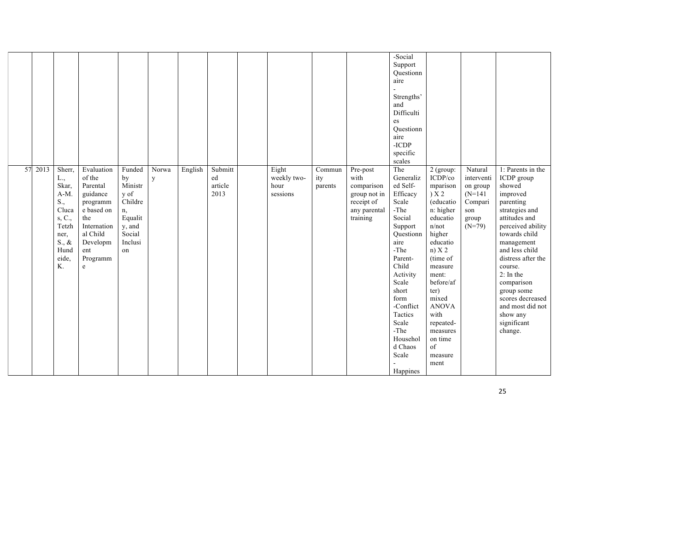|    |      |                                                                                                                       |                                                                                                                                                    |                                                                                                  |                       |         |                                  |                                          |                          |                                                                                          | -Social<br>Support<br>Questionn<br>aire<br>Strengths'<br>and<br>Difficulti<br>es<br>Questionn<br>aire<br>$-ICDP$<br>specific<br>scales                                                                                                                     |                                                                                                                                                                                                                                                                               |                                                                                       |                                                                                                                                                                                                                                                                                                                                       |
|----|------|-----------------------------------------------------------------------------------------------------------------------|----------------------------------------------------------------------------------------------------------------------------------------------------|--------------------------------------------------------------------------------------------------|-----------------------|---------|----------------------------------|------------------------------------------|--------------------------|------------------------------------------------------------------------------------------|------------------------------------------------------------------------------------------------------------------------------------------------------------------------------------------------------------------------------------------------------------|-------------------------------------------------------------------------------------------------------------------------------------------------------------------------------------------------------------------------------------------------------------------------------|---------------------------------------------------------------------------------------|---------------------------------------------------------------------------------------------------------------------------------------------------------------------------------------------------------------------------------------------------------------------------------------------------------------------------------------|
| 57 | 2013 | Sherr,<br>L.,<br>Skar,<br>$A-M.$<br>S.,<br>Cluca<br>s, C.,<br>Tetzh<br>ner,<br>$S_{\cdot}, \&$<br>Hund<br>eide,<br>Κ. | Evaluation<br>of the<br>Parental<br>guidance<br>programm<br>e based on<br>the<br>Internation<br>al Child<br>Developm<br>ent<br>Programm<br>$\rm e$ | Funded<br>by<br>Ministr<br>y of<br>Childre<br>n,<br>Equalit<br>y, and<br>Social<br>Inclusi<br>on | Norwa<br>$\mathbf{y}$ | English | Submitt<br>ed<br>article<br>2013 | Eight<br>weekly two-<br>hour<br>sessions | Commun<br>ity<br>parents | Pre-post<br>with<br>comparison<br>group not in<br>receipt of<br>any parental<br>training | The<br>Generaliz<br>ed Self-<br>Efficacy<br>Scale<br>-The<br>Social<br>Support<br>Ouestionn<br>aire<br>-The<br>Parent-<br>Child<br>Activity<br>Scale<br>short<br>form<br>-Conflict<br>Tactics<br>Scale<br>-The<br>Househol<br>d Chaos<br>Scale<br>Happines | 2 (group:<br>ICDP/co<br>mparison<br>) X 2<br>(educatio<br>n: higher<br>educatio<br>n/not<br>higher<br>educatio<br>$n)$ X 2<br>(time of<br>measure<br>ment:<br>before/af<br>ter)<br>mixed<br><b>ANOVA</b><br>with<br>repeated-<br>measures<br>on time<br>of<br>measure<br>ment | Natural<br>interventi<br>on group<br>$(N=141)$<br>Compari<br>son<br>group<br>$(N=79)$ | 1: Parents in the<br>ICDP group<br>showed<br>improved<br>parenting<br>strategies and<br>attitudes and<br>perceived ability<br>towards child<br>management<br>and less child<br>distress after the<br>course.<br>$2:$ In the<br>comparison<br>group some<br>scores decreased<br>and most did not<br>show any<br>significant<br>change. |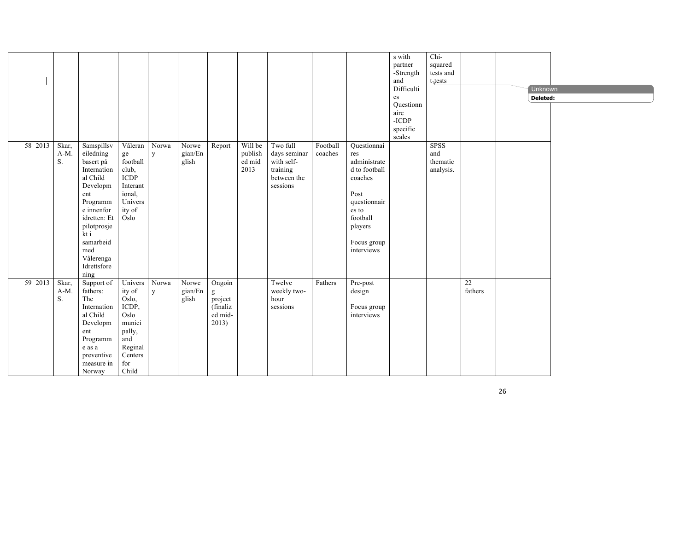|    |      |                        |                                                                                                                                                                                                             |                                                                                                              |            |                           |                                                                          |                                      |                                                                               |                     |                                                                                                                                                     | s with<br>partner<br>-Strength<br>and<br>Difficulti<br>es<br>Questionn<br>aire<br>-ICDP<br>specific<br>scales | Chi-<br>squared<br>tests and<br>$t$ -tests  |               | Unknown<br>Deleted: |  |
|----|------|------------------------|-------------------------------------------------------------------------------------------------------------------------------------------------------------------------------------------------------------|--------------------------------------------------------------------------------------------------------------|------------|---------------------------|--------------------------------------------------------------------------|--------------------------------------|-------------------------------------------------------------------------------|---------------------|-----------------------------------------------------------------------------------------------------------------------------------------------------|---------------------------------------------------------------------------------------------------------------|---------------------------------------------|---------------|---------------------|--|
| 58 | 2013 | Skar,<br>$A-M$ .<br>S. | Samspillsv<br>eiledning<br>basert på<br>Internation<br>al Child<br>Developm<br>ent<br>Programm<br>e innenfor<br>idretten: Et<br>pilotprosje<br>kt i<br>samarbeid<br>med<br>Vålerenga<br>Idrettsfore<br>ning | Våleran<br>$\rm ge$<br>football<br>club,<br><b>ICDP</b><br>Interant<br>ional,<br>Univers<br>ity of<br>Oslo   | Norwa<br>y | Norwe<br>gian/En<br>glish | Report                                                                   | Will be<br>publish<br>ed mid<br>2013 | Two full<br>days seminar<br>with self-<br>training<br>between the<br>sessions | Football<br>coaches | Questionnai<br>res<br>administrate<br>d to football<br>coaches<br>Post<br>questionnair<br>es to<br>football<br>players<br>Focus group<br>interviews |                                                                                                               | <b>SPSS</b><br>and<br>thematic<br>analysis. |               |                     |  |
| 59 | 2013 | Skar,<br>A-M.<br>S.    | Support of<br>fathers:<br>The<br>Internation<br>al Child<br>Developm<br>ent<br>Programm<br>e as a<br>preventive<br>measure in<br>Norway                                                                     | Univers<br>ity of<br>Oslo.<br>ICDP,<br>Oslo<br>munici<br>pally,<br>and<br>Reginal<br>Centers<br>for<br>Child | Norwa<br>y | Norwe<br>gian/En<br>glish | Ongoin<br>$\mathbf{g}$<br>project<br><i>(finaliz</i><br>ed mid-<br>2013) |                                      | Twelve<br>weekly two-<br>hour<br>sessions                                     | Fathers             | Pre-post<br>design<br>Focus group<br>interviews                                                                                                     |                                                                                                               |                                             | 22<br>fathers |                     |  |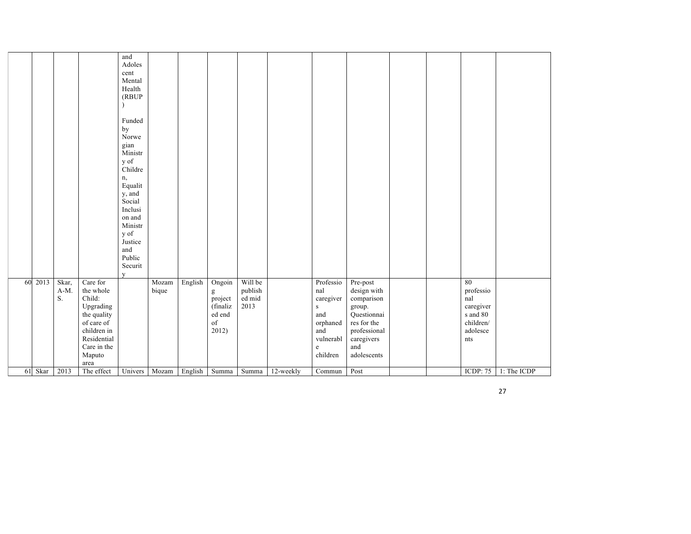|    |         |                                |                                                                                                                                          | and<br>Adoles<br>cent<br>Mental<br>Health<br>(RBUP<br>Funded<br>by<br>Norwe<br>gian<br>Ministr<br>y of<br>Childre<br>n,<br>Equalit<br>y, and<br>Social<br>Inclusi<br>on and<br>Ministr<br>y of<br>Justice<br>and<br>Public<br>Securit<br>$\mathbf{V}$ |                |         |                                                             |                                      |           |                                                                                                          |                                                                                                                                   |  |                                                                                 |             |
|----|---------|--------------------------------|------------------------------------------------------------------------------------------------------------------------------------------|-------------------------------------------------------------------------------------------------------------------------------------------------------------------------------------------------------------------------------------------------------|----------------|---------|-------------------------------------------------------------|--------------------------------------|-----------|----------------------------------------------------------------------------------------------------------|-----------------------------------------------------------------------------------------------------------------------------------|--|---------------------------------------------------------------------------------|-------------|
| 60 | 2013    | Skar,<br>$A-M$ .<br>${\bf S}.$ | Care for<br>the whole<br>Child:<br>Upgrading<br>the quality<br>of care of<br>children in<br>Residential<br>Care in the<br>Maputo<br>area |                                                                                                                                                                                                                                                       | Mozam<br>bique | English | Ongoin<br>g<br>project<br>(finaliz<br>ed end<br>of<br>2012) | Will be<br>publish<br>ed mid<br>2013 |           | Professio<br>nal<br>caregiver<br>${\bf S}$<br>and<br>orphaned<br>and<br>vulnerabl<br>$\rm e$<br>children | Pre-post<br>design with<br>comparison<br>group.<br>Questionnai<br>res for the<br>professional<br>caregivers<br>and<br>adolescents |  | 80<br>professio<br>nal<br>caregiver<br>s and 80<br>children/<br>adolesce<br>nts |             |
|    | 61 Skar | 2013                           | The effect                                                                                                                               |                                                                                                                                                                                                                                                       | Univers Mozam  | English | Summa                                                       | Summa                                | 12-weekly | Commun                                                                                                   | Post                                                                                                                              |  | <b>ICDP: 75</b>                                                                 | 1: The ICDP |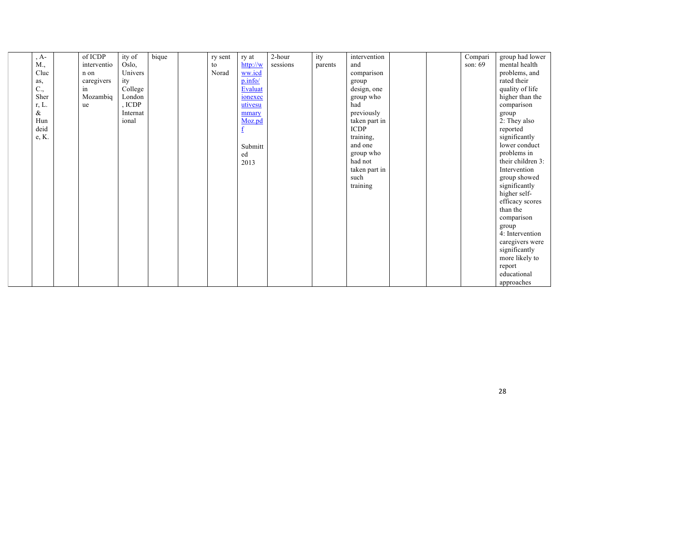| $A -$ | of ICDP     | ity of   | bique | ry sent | ry at    | 2-hour   | ity     | intervention  |  | Compari | group had lower   |
|-------|-------------|----------|-------|---------|----------|----------|---------|---------------|--|---------|-------------------|
| M.,   | interventio | Oslo,    |       | to      | http://w | sessions | parents | and           |  | son: 69 | mental health     |
| Cluc  | n on        | Univers  |       | Norad   | ww.icd   |          |         | comparison    |  |         | problems, and     |
| as,   | caregivers  | ity      |       |         | p.info/  |          |         | group         |  |         | rated their       |
| C.,   | in          | College  |       |         | Evaluat  |          |         | design, one   |  |         | quality of life   |
| Sher  | Mozambiq    | London   |       |         | ionexec  |          |         | group who     |  |         | higher than the   |
| r, L. | ue          | , ICDP   |       |         | utivesu  |          |         | had           |  |         | comparison        |
| &     |             | Internat |       |         | mmary    |          |         | previously    |  |         | group             |
| Hun   |             | ional    |       |         | Moz.pd   |          |         | taken part in |  |         | 2: They also      |
| deid  |             |          |       |         |          |          |         | <b>ICDP</b>   |  |         | reported          |
| e, K. |             |          |       |         |          |          |         | training,     |  |         | significantly     |
|       |             |          |       |         | Submitt  |          |         | and one       |  |         | lower conduct     |
|       |             |          |       |         | ed       |          |         | group who     |  |         | problems in       |
|       |             |          |       |         | 2013     |          |         | had not       |  |         | their children 3: |
|       |             |          |       |         |          |          |         | taken part in |  |         | Intervention      |
|       |             |          |       |         |          |          |         | such          |  |         | group showed      |
|       |             |          |       |         |          |          |         | training      |  |         | significantly     |
|       |             |          |       |         |          |          |         |               |  |         | higher self-      |
|       |             |          |       |         |          |          |         |               |  |         | efficacy scores   |
|       |             |          |       |         |          |          |         |               |  |         | than the          |
|       |             |          |       |         |          |          |         |               |  |         | comparison        |
|       |             |          |       |         |          |          |         |               |  |         | group             |
|       |             |          |       |         |          |          |         |               |  |         | 4: Intervention   |
|       |             |          |       |         |          |          |         |               |  |         | caregivers were   |
|       |             |          |       |         |          |          |         |               |  |         | significantly     |
|       |             |          |       |         |          |          |         |               |  |         | more likely to    |
|       |             |          |       |         |          |          |         |               |  |         | report            |
|       |             |          |       |         |          |          |         |               |  |         | educational       |
|       |             |          |       |         |          |          |         |               |  |         | approaches        |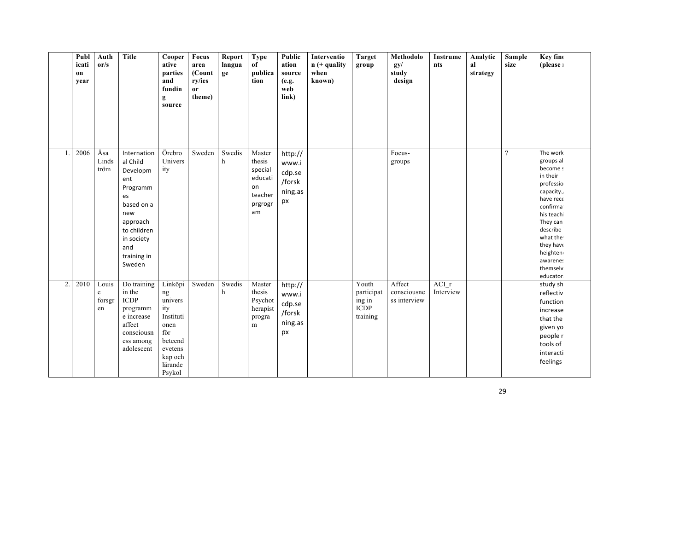|    | Publ<br>icati<br>on<br>year | Auth<br>or/s               | <b>Title</b>                                                                                                                                               | Cooper<br>ative<br>parties<br>and<br>fundin<br>g<br>source                                                        | Focus<br>area<br>(Count<br>ry/ies<br>or<br>theme) | Report<br>langua<br>ge | <b>Type</b><br>of<br>publica<br>tion                                     | Public<br>ation<br>source<br>(e.g.<br>web<br>link)    | Interventio<br>$n (+$ quality<br>when<br>known) | <b>Target</b><br>group                                   | Methodolo<br>gy/<br>study<br>design   | Instrume<br>nts    | Analytic<br>al<br>strategy | Sample<br>size | Key fino<br>(please 1                                                                                                                                                                                             |
|----|-----------------------------|----------------------------|------------------------------------------------------------------------------------------------------------------------------------------------------------|-------------------------------------------------------------------------------------------------------------------|---------------------------------------------------|------------------------|--------------------------------------------------------------------------|-------------------------------------------------------|-------------------------------------------------|----------------------------------------------------------|---------------------------------------|--------------------|----------------------------|----------------|-------------------------------------------------------------------------------------------------------------------------------------------------------------------------------------------------------------------|
|    | 2006                        | Åsa<br>Linds<br>tröm       | Internation<br>al Child<br>Developm<br>ent<br>Programm<br>es<br>based on a<br>new<br>approach<br>to children<br>in society<br>and<br>training in<br>Sweden | Örebro<br>Univers<br>ity                                                                                          | Sweden                                            | Swedis<br>h            | Master<br>thesis<br>special<br>educati<br>on<br>teacher<br>prgrogr<br>am | http://<br>www.i<br>cdp.se<br>/forsk<br>ning.as<br>px |                                                 |                                                          | Focus-<br>groups                      |                    |                            | $\gamma$       | The work<br>groups al<br>become s<br>in their<br>professio<br>capacity.,<br>have rece<br>confirmat<br>his teachi<br>They can<br>describe<br>what the<br>they have<br>heighten<br>awarenes<br>themselv<br>educator |
| 2. | 2010                        | Louis<br>e<br>forsgr<br>en | Do training<br>in the<br><b>ICDP</b><br>programm<br>e increase<br>affect<br>consciousn<br>ess among<br>adolescent                                          | Linköpi<br>ng<br>univers<br>ity<br>Instituti<br>onen<br>för<br>beteend<br>evetens<br>kap och<br>lärande<br>Psykol | Sweden                                            | Swedis<br>h            | Master<br>thesis<br>Psychot<br>herapist<br>progra<br>m                   | http://<br>www.i<br>cdp.se<br>/forsk<br>ning.as<br>px |                                                 | Youth<br>participat<br>ing in<br><b>ICDP</b><br>training | Affect<br>consciousne<br>ss interview | ACI r<br>Interview |                            |                | study sh<br>reflectiv<br>function<br>increase<br>that the<br>given yo<br>people r<br>tools of<br>interacti<br>feelings                                                                                            |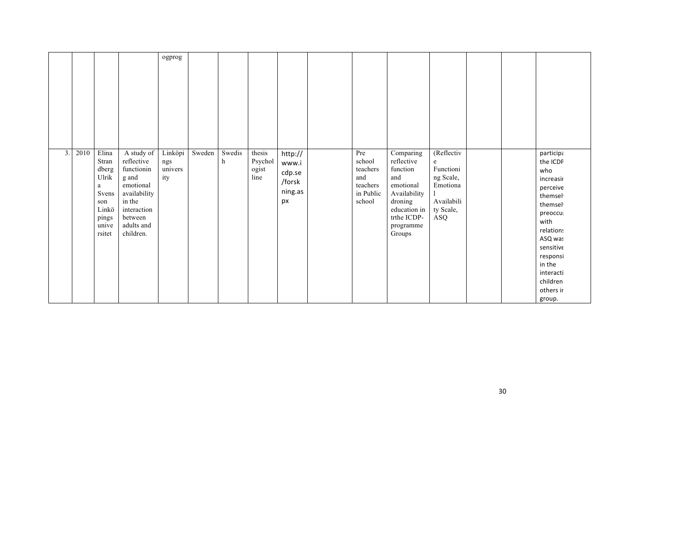|    |      |                                                                                            |                                                                                                                                             | ogprog                           |        |             |                                    |                                                       |                                                                     |                                                                                                                                          |                                                                                         |  |                                                                                                                                                                                                           |
|----|------|--------------------------------------------------------------------------------------------|---------------------------------------------------------------------------------------------------------------------------------------------|----------------------------------|--------|-------------|------------------------------------|-------------------------------------------------------|---------------------------------------------------------------------|------------------------------------------------------------------------------------------------------------------------------------------|-----------------------------------------------------------------------------------------|--|-----------------------------------------------------------------------------------------------------------------------------------------------------------------------------------------------------------|
| 3. | 2010 | Elina<br>Stran<br>dberg<br>Ulrik<br>a<br>Svens<br>son<br>Linkö<br>pings<br>unive<br>rsitet | A study of<br>reflective<br>functionin<br>g and<br>emotional<br>availability<br>in the<br>interaction<br>between<br>adults and<br>children. | Linköpi<br>ngs<br>univers<br>ity | Sweden | Swedis<br>h | thesis<br>Psychol<br>ogist<br>line | http://<br>www.i<br>cdp.se<br>/forsk<br>ning.as<br>px | Pre<br>school<br>teachers<br>and<br>teachers<br>in Public<br>school | Comparing<br>reflective<br>function<br>and<br>emotional<br>Availability<br>droning<br>education in<br>trthe ICDP-<br>programme<br>Groups | (Reflectiv<br>e<br>Functioni<br>ng Scale,<br>Emotiona<br>Availabili<br>ty Scale,<br>ASQ |  | participa<br>the ICDF<br>who<br>increasir<br>perceive<br>themsel<br>themsel<br>preoccu<br>with<br>relations<br>ASQ was<br>sensitive<br>responsi<br>in the<br>interacti<br>children<br>others ir<br>group. |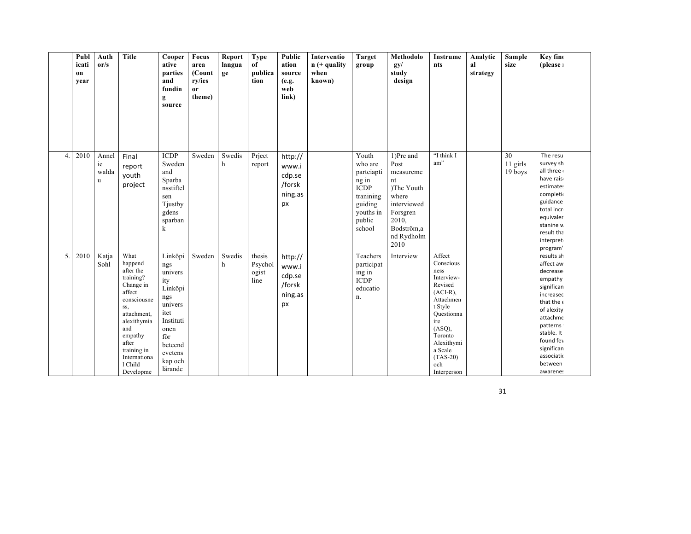|                          | Publ<br>icati<br>on<br>year | Auth<br>or/s              | <b>Title</b>                                                                                                                                                                                           | Cooper<br>ative<br>parties<br>and<br>fundin<br>g<br>source                                                                                    | Focus<br>area<br>(Count<br>ry/ies<br>or<br>theme) | Report<br>langua<br>ge | <b>Type</b><br>of<br>publica<br>tion | Public<br>ation<br>source<br>(e.g.<br>web<br>link)    | Interventio<br>$n (+$ quality<br>when<br>known) | <b>Target</b><br>group                                                                                          | Methodolo<br>gy/<br>study<br>design                                                                                                 | Instrume<br>nts                                                                                                                                                                                    | Analytic<br>al<br>strategy | Sample<br>size            | Key fine<br>(please 1                                                                                                                                                                                                |
|--------------------------|-----------------------------|---------------------------|--------------------------------------------------------------------------------------------------------------------------------------------------------------------------------------------------------|-----------------------------------------------------------------------------------------------------------------------------------------------|---------------------------------------------------|------------------------|--------------------------------------|-------------------------------------------------------|-------------------------------------------------|-----------------------------------------------------------------------------------------------------------------|-------------------------------------------------------------------------------------------------------------------------------------|----------------------------------------------------------------------------------------------------------------------------------------------------------------------------------------------------|----------------------------|---------------------------|----------------------------------------------------------------------------------------------------------------------------------------------------------------------------------------------------------------------|
| $\boldsymbol{\varDelta}$ | 2010                        | Annel<br>ie<br>walda<br>u | Final<br>report<br>youth<br>project                                                                                                                                                                    | <b>ICDP</b><br>Sweden<br>and<br>Sparba<br>nsstiftel<br>sen<br>Tjustby<br>gdens<br>sparban<br>k                                                | Sweden                                            | Swedis<br>h            | Priect<br>report                     | http://<br>www.i<br>cdp.se<br>/forsk<br>ning.as<br>px |                                                 | Youth<br>who are<br>partciapti<br>ng in<br><b>ICDP</b><br>tranining<br>guiding<br>youths in<br>public<br>school | 1)Pre and<br>Post<br>measureme<br>nt<br>)The Youth<br>where<br>interviewed<br>Forsgren<br>2010,<br>Bodström,a<br>nd Rydholm<br>2010 | "I think I<br>am"                                                                                                                                                                                  |                            | 30<br>11 girls<br>19 boys | The resu<br>survey sh<br>all three<br>have rais<br>estimates<br>completio<br>guidance<br>total incr<br>equivaler<br>stanine w<br>result tha<br>interpret<br>program'                                                 |
| 5.                       | 2010                        | Katja<br>Sohl             | What<br>happend<br>after the<br>training?<br>Change in<br>affect<br>consciousne<br>SS,<br>attachment,<br>alexithymia<br>and<br>empathy<br>after<br>training in<br>Internationa<br>1 Child<br>Developme | Linköpi<br>ngs<br>univers<br>ity<br>Linköpi<br>ngs<br>univers<br>itet<br>Instituti<br>onen<br>för<br>beteend<br>evetens<br>kap och<br>lärande | Sweden                                            | Swedis<br>h            | thesis<br>Psychol<br>ogist<br>line   | http://<br>www.i<br>cdp.se<br>/forsk<br>ning.as<br>px |                                                 | Teachers<br>participat<br>ing in<br><b>ICDP</b><br>educatio<br>n.                                               | Interview                                                                                                                           | Affect<br>Conscious<br>ness<br>Interview-<br>Revised<br>$(ACI-R)$ ,<br>Attachmen<br>t Style<br>Questionna<br>ire<br>(ASQ),<br>Toronto<br>Alexithymi<br>a Scale<br>$(TAS-20)$<br>och<br>Interperson |                            |                           | results sh<br>affect aw<br>decrease<br>empathy<br>significan<br>increasec<br>that the $\epsilon$<br>of alexity<br>attachme<br>patterns<br>stable. It<br>found fev<br>significan<br>associatic<br>between<br>awarenes |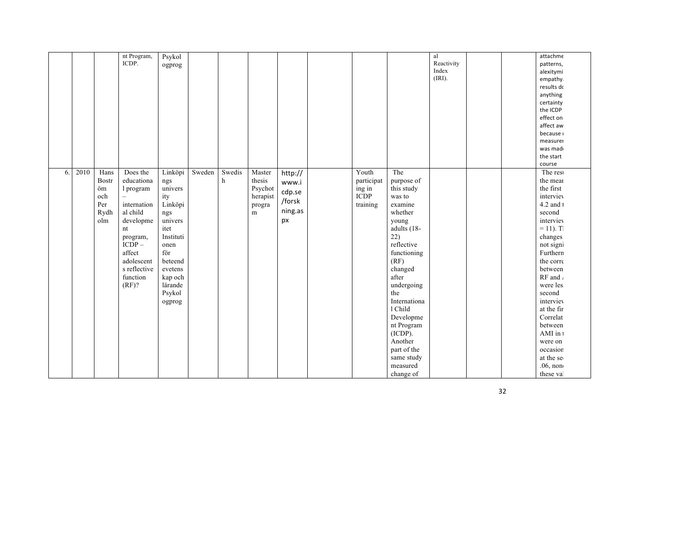|    |      |                                                         | nt Program,<br>ICDP.                                                                                                                                                  | Psykol<br>ogprog                                                                                                                                                    |        |             |                                                        |                                                       |                                                          |                                                                                                                                                                                                                                                                                                                | al<br>Reactivity<br>Index<br>(IRI). |  | attachme<br>patterns,<br>alexitymi<br>empathy.<br>results do<br>anything<br>certainty<br>the ICDP<br>effect on<br>affect aw<br>because i<br>measurer<br>was mad<br>the start<br>course                                                                                                                                                |
|----|------|---------------------------------------------------------|-----------------------------------------------------------------------------------------------------------------------------------------------------------------------|---------------------------------------------------------------------------------------------------------------------------------------------------------------------|--------|-------------|--------------------------------------------------------|-------------------------------------------------------|----------------------------------------------------------|----------------------------------------------------------------------------------------------------------------------------------------------------------------------------------------------------------------------------------------------------------------------------------------------------------------|-------------------------------------|--|---------------------------------------------------------------------------------------------------------------------------------------------------------------------------------------------------------------------------------------------------------------------------------------------------------------------------------------|
| 6. | 2010 | Hans<br><b>Bostr</b><br>öm<br>och<br>Per<br>Rydh<br>olm | Does the<br>educationa<br>1 program<br>internation<br>al child<br>developme<br>nt<br>program,<br>$ICDP-$<br>affect<br>adolescent<br>s reflective<br>function<br>(RF)? | Linköpi<br>$ngs$<br>univers<br>ity<br>Linköpi<br>ngs<br>univers<br>itet<br>Instituti<br>onen<br>för<br>beteend<br>evetens<br>kap och<br>lärande<br>Psykol<br>ogprog | Sweden | Swedis<br>h | Master<br>thesis<br>Psychot<br>herapist<br>progra<br>m | http://<br>www.i<br>cdp.se<br>/forsk<br>ning.as<br>px | Youth<br>participat<br>ing in<br><b>ICDP</b><br>training | The<br>purpose of<br>this study<br>was to<br>examine<br>whether<br>young<br>adults (18-<br>22)<br>reflective<br>functioning<br>(RF)<br>changed<br>after<br>undergoing<br>the<br>Internationa<br>1 Child<br>Developme<br>nt Program<br>(ICDP).<br>Another<br>part of the<br>same study<br>measured<br>change of |                                     |  | The rest<br>the mean<br>the first<br>interviev<br>4.2 and 1<br>second<br>interviev<br>$= 11$ ). T<br>changes<br>not signi<br>Furthern<br>the corre<br>between<br>RF and $\lambda$<br>were les<br>second<br>interviev<br>at the fir<br>Correlat<br>between<br>AMI in 1<br>were on<br>occasion<br>at the se<br>$.06$ , non<br>these val |